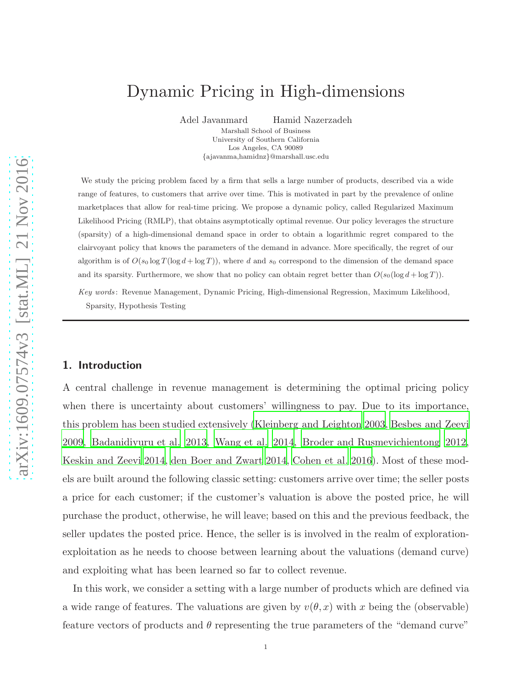# Dynamic Pricing in High-dimensions

Adel Javanmard Hamid Nazerzadeh

Marshall School of Business University of Southern California Los Angeles, CA 90089 {ajavanma,hamidnz}@marshall.usc.edu

We study the pricing problem faced by a firm that sells a large number of products, described via a wide range of features, to customers that arrive over time. This is motivated in part by the prevalence of online marketplaces that allow for real-time pricing. We propose a dynamic policy, called Regularized Maximum Likelihood Pricing (RMLP), that obtains asymptotically optimal revenue. Our policy leverages the structure (sparsity) of a high-dimensional demand space in order to obtain a logarithmic regret compared to the clairvoyant policy that knows the parameters of the demand in advance. More specifically, the regret of our algorithm is of  $O(s_0 \log T (\log d + \log T))$ , where d and s<sub>0</sub> correspond to the dimension of the demand space and its sparsity. Furthermore, we show that no policy can obtain regret better than  $O(s_0(\log d + \log T))$ .

Key words : Revenue Management, Dynamic Pricing, High-dimensional Regression, Maximum Likelihood, Sparsity, Hypothesis Testing

# 1. Introduction

A central challenge in revenue management is determining the optimal pricing policy when there is uncertainty about customers' willingness to pay. Due to its importance, this problem has been studied extensively [\(Kleinberg and Leighton 2003,](#page-33-0) [Besbes and Zeevi](#page-32-0) [2009,](#page-32-0) [Badanidiyuru et al. 2013,](#page-32-1) [Wang et al. 2014,](#page-34-0) [Broder and Rusmevichientong 2012,](#page-32-2) [Keskin and Zeevi 2014,](#page-33-1) [den Boer and Zwart 2014,](#page-32-3) [Cohen et al. 2016](#page-32-4)). Most of these models are built around the following classic setting: customers arrive over time; the seller posts a price for each customer; if the customer's valuation is above the posted price, he will purchase the product, otherwise, he will leave; based on this and the previous feedback, the seller updates the posted price. Hence, the seller is is involved in the realm of explorationexploitation as he needs to choose between learning about the valuations (demand curve) and exploiting what has been learned so far to collect revenue.

In this work, we consider a setting with a large number of products which are defined via a wide range of features. The valuations are given by  $v(\theta, x)$  with x being the (observable) feature vectors of products and  $\theta$  representing the true parameters of the "demand curve"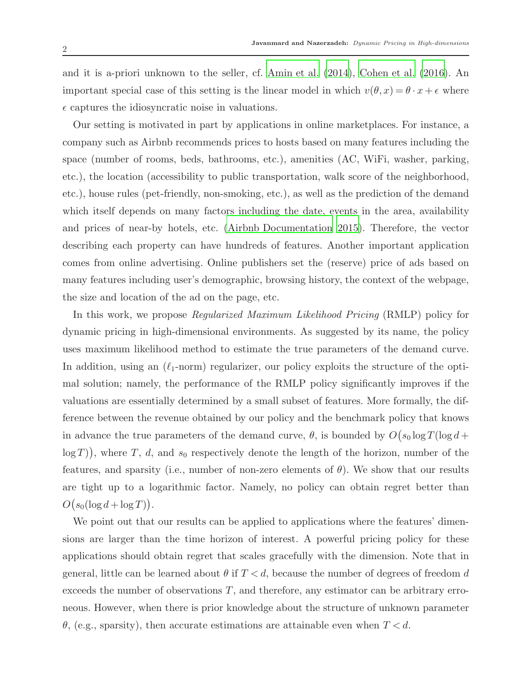and it is a-priori unknown to the seller, cf. [Amin et al. \(2014](#page-31-0)), [Cohen et al. \(2016](#page-32-4)). An important special case of this setting is the linear model in which  $v(\theta, x) = \theta \cdot x + \epsilon$  where  $\epsilon$  captures the idiosyncratic noise in valuations.

Our setting is motivated in part by applications in online marketplaces. For instance, a company such as Airbnb recommends prices to hosts based on many features including the space (number of rooms, beds, bathrooms, etc.), amenities (AC, WiFi, washer, parking, etc.), the location (accessibility to public transportation, walk score of the neighborhood, etc.), house rules (pet-friendly, non-smoking, etc.), as well as the prediction of the demand which itself depends on many factors including the date, events in the area, availability and prices of near-by hotels, etc. [\(Airbnb Documentation 2015\)](#page-31-1). Therefore, the vector describing each property can have hundreds of features. Another important application comes from online advertising. Online publishers set the (reserve) price of ads based on many features including user's demographic, browsing history, the context of the webpage, the size and location of the ad on the page, etc.

In this work, we propose *Regularized Maximum Likelihood Pricing* (RMLP) policy for dynamic pricing in high-dimensional environments. As suggested by its name, the policy uses maximum likelihood method to estimate the true parameters of the demand curve. In addition, using an  $(\ell_1\text{-norm})$  regularizer, our policy exploits the structure of the optimal solution; namely, the performance of the RMLP policy significantly improves if the valuations are essentially determined by a small subset of features. More formally, the difference between the revenue obtained by our policy and the benchmark policy that knows in advance the true parameters of the demand curve,  $\theta$ , is bounded by  $O(s_0 \log T (\log d +$  $log(T)$ , where T, d, and  $s_0$  respectively denote the length of the horizon, number of the features, and sparsity (i.e., number of non-zero elements of  $\theta$ ). We show that our results are tight up to a logarithmic factor. Namely, no policy can obtain regret better than  $O(s_0(\log d + \log T)).$ 

We point out that our results can be applied to applications where the features' dimensions are larger than the time horizon of interest. A powerful pricing policy for these applications should obtain regret that scales gracefully with the dimension. Note that in general, little can be learned about  $\theta$  if  $T < d$ , because the number of degrees of freedom d exceeds the number of observations  $T$ , and therefore, any estimator can be arbitrary erroneous. However, when there is prior knowledge about the structure of unknown parameter  $\theta$ , (e.g., sparsity), then accurate estimations are attainable even when  $T < d$ .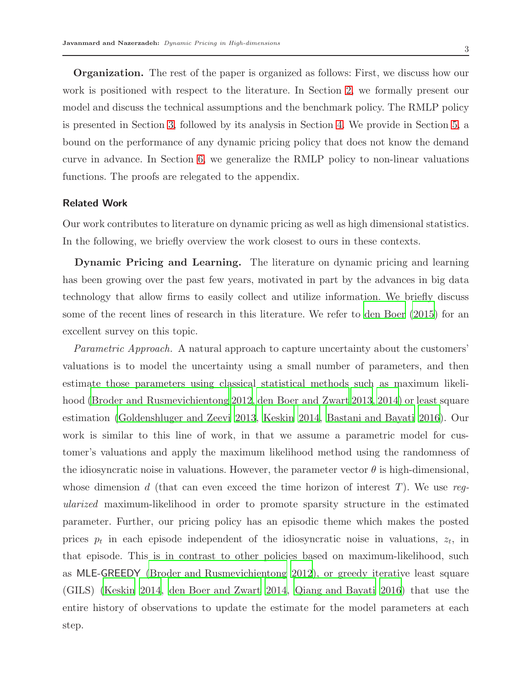**Organization.** The rest of the paper is organized as follows: First, we discuss how our work is positioned with respect to the literature. In Section [2,](#page-20-0) we formally present our model and discuss the technical assumptions and the benchmark policy. The RMLP policy is presented in Section [3,](#page-23-0) followed by its analysis in Section [4.](#page-25-0) We provide in Section [5,](#page-27-0) a bound on the performance of any dynamic pricing policy that does not know the demand curve in advance. In Section [6,](#page-14-0) we generalize the RMLP policy to non-linear valuations functions. The proofs are relegated to the appendix.

#### Related Work

Our work contributes to literature on dynamic pricing as well as high dimensional statistics. In the following, we briefly overview the work closest to ours in these contexts.

Dynamic Pricing and Learning. The literature on dynamic pricing and learning has been growing over the past few years, motivated in part by the advances in big data technology that allow firms to easily collect and utilize information. We briefly discuss some of the recent lines of research in this literature. We refer to [den Boer \(2015\)](#page-32-5) for an excellent survey on this topic.

*Parametric Approach.* A natural approach to capture uncertainty about the customers' valuations is to model the uncertainty using a small number of parameters, and then estimate those parameters using classical statistical methods such as maximum likelihood [\(Broder and Rusmevichientong 2012](#page-32-2), [den Boer and Zwart 2013,](#page-33-2) [2014\)](#page-32-3) or least square estimation [\(Goldenshluger and Zeevi 2013,](#page-33-3) [Keskin 2014,](#page-33-4) [Bastani and Bayati 2016](#page-32-6)). Our work is similar to this line of work, in that we assume a parametric model for customer's valuations and apply the maximum likelihood method using the randomness of the idiosyncratic noise in valuations. However, the parameter vector  $\theta$  is high-dimensional, whose dimension d (that can even exceed the time horizon of interest T). We use *regularized* maximum-likelihood in order to promote sparsity structure in the estimated parameter. Further, our pricing policy has an episodic theme which makes the posted prices  $p_t$  in each episode independent of the idiosyncratic noise in valuations,  $z_t$ , in that episode. This is in contrast to other policies based on maximum-likelihood, such as MLE-GREEDY [\(Broder and Rusmevichientong 2012\)](#page-32-2), or greedy iterative least square (GILS) [\(Keskin 2014](#page-33-4), [den Boer and Zwart 2014](#page-32-3), [Qiang and Bayati 2016\)](#page-34-1) that use the entire history of observations to update the estimate for the model parameters at each step.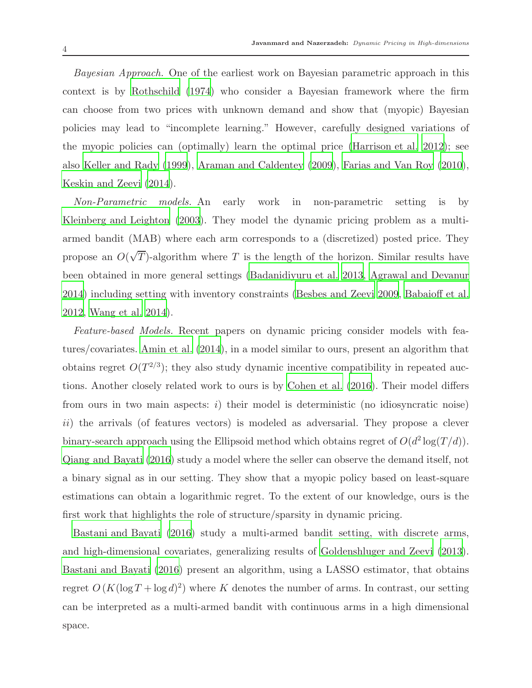*Bayesian Approach.* One of the earliest work on Bayesian parametric approach in this context is by [Rothschild \(1974](#page-34-2)) who consider a Bayesian framework where the firm can choose from two prices with unknown demand and show that (myopic) Bayesian policies may lead to "incomplete learning." However, carefully designed variations of the myopic policies can (optimally) learn the optimal price [\(Harrison et al. 2012\)](#page-33-5); see also [Keller and Rady \(1999\)](#page-33-6), [Araman and Caldentey \(2009\)](#page-31-2), [Farias and Van Roy \(2010](#page-33-7)), [Keskin and Zeevi \(2014\)](#page-33-1).

*Non-Parametric models.* An early work in non-parametric setting is by [Kleinberg and Leighton \(2003](#page-33-0)). They model the dynamic pricing problem as a multiarmed bandit (MAB) where each arm corresponds to a (discretized) posted price. They propose an  $O(\sqrt{T})$ -algorithm where T is the length of the horizon. Similar results have been obtained in more general settings [\(Badanidiyuru et al.](#page-32-1) [2013](#page-32-1), [Agrawal and Devanur](#page-31-3) [2014\)](#page-31-3) including setting with inventory constraints [\(Besbes and Zeevi 2009,](#page-32-0) [Babaioff et al.](#page-31-4) [2012,](#page-31-4) [Wang et al. 2014\)](#page-34-0).

*Feature-based Models.* Recent papers on dynamic pricing consider models with features/covariates. [Amin et al. \(2014\)](#page-31-0), in a model similar to ours, present an algorithm that obtains regret  $O(T^{2/3})$ ; they also study dynamic incentive compatibility in repeated auctions. Another closely related work to ours is by [Cohen et al.](#page-32-4) [\(2016\)](#page-32-4). Their model differs from ours in two main aspects:  $i)$  their model is deterministic (no idiosyncratic noise) ii) the arrivals (of features vectors) is modeled as adversarial. They propose a clever binary-search approach using the Ellipsoid method which obtains regret of  $O(d^2 \log(T/d))$ . [Qiang and Bayati \(2016](#page-34-1)) study a model where the seller can observe the demand itself, not a binary signal as in our setting. They show that a myopic policy based on least-square estimations can obtain a logarithmic regret. To the extent of our knowledge, ours is the first work that highlights the role of structure/sparsity in dynamic pricing.

[Bastani and Bayati \(2016](#page-32-6)) study a multi-armed bandit setting, with discrete arms, and high-dimensional covariates, generalizing results of [Goldenshluger and Zeevi \(2013](#page-33-3)). [Bastani and Bayati \(2016](#page-32-6)) present an algorithm, using a LASSO estimator, that obtains regret  $O(K(\log T + \log d)^2)$  where K denotes the number of arms. In contrast, our setting can be interpreted as a multi-armed bandit with continuous arms in a high dimensional space.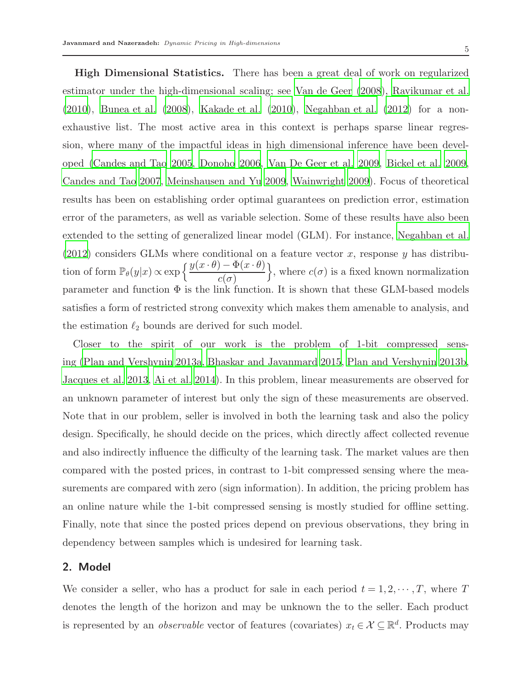5

High Dimensional Statistics. There has been a great deal of work on regularized estimator under the high-dimensional scaling; see [Van de Geer \(2008\)](#page-34-3), [Ravikumar et al.](#page-34-4) [\(2010\)](#page-34-4), [Bunea et al. \(2008\)](#page-32-7), [Kakade et al. \(2010](#page-33-8)), [Negahban et al. \(2012\)](#page-33-9) for a nonexhaustive list. The most active area in this context is perhaps sparse linear regression, where many of the impactful ideas in high dimensional inference have been developed [\(Candes and Tao 2005](#page-32-8), [Donoho 2006,](#page-33-10) [Van De Geer et al. 2009,](#page-34-5) [Bickel et al. 2009,](#page-32-9) [Candes and Tao 2007,](#page-32-10) [Meinshausen and Yu 2009](#page-33-11), [Wainwright 2009](#page-34-6)). Focus of theoretical results has been on establishing order optimal guarantees on prediction error, estimation error of the parameters, as well as variable selection. Some of these results have also been extended to the setting of generalized linear model (GLM). For instance, [Negahban et al.](#page-33-9) [\(2012\)](#page-33-9) considers GLMs where conditional on a feature vector x, response y has distribution of form  $\mathbb{P}_{\theta}(y|x) \propto \exp\left\{\frac{y(x \cdot \theta) - \Phi(x \cdot \theta)}{c(\sigma)}\right\}$  $\}$ , where  $c(\sigma)$  is a fixed known normalization parameter and function  $\Phi$  is the link function. It is shown that these GLM-based models satisfies a form of restricted strong convexity which makes them amenable to analysis, and the estimation  $\ell_2$  bounds are derived for such model.

Closer to the spirit of our work is the problem of 1-bit compressed sensing [\(Plan and Vershynin 2013a](#page-34-7), [Bhaskar and Javanmard 2015,](#page-32-11) [Plan and Vershynin 2013b,](#page-34-8) [Jacques et al. 2013,](#page-33-12) [Ai et al. 2014](#page-31-5)). In this problem, linear measurements are observed for an unknown parameter of interest but only the sign of these measurements are observed. Note that in our problem, seller is involved in both the learning task and also the policy design. Specifically, he should decide on the prices, which directly affect collected revenue and also indirectly influence the difficulty of the learning task. The market values are then compared with the posted prices, in contrast to 1-bit compressed sensing where the measurements are compared with zero (sign information). In addition, the pricing problem has an online nature while the 1-bit compressed sensing is mostly studied for offline setting. Finally, note that since the posted prices depend on previous observations, they bring in dependency between samples which is undesired for learning task.

## 2. Model

We consider a seller, who has a product for sale in each period  $t = 1, 2, \dots, T$ , where T denotes the length of the horizon and may be unknown the to the seller. Each product is represented by an *observable* vector of features (covariates)  $x_t \in \mathcal{X} \subseteq \mathbb{R}^d$ . Products may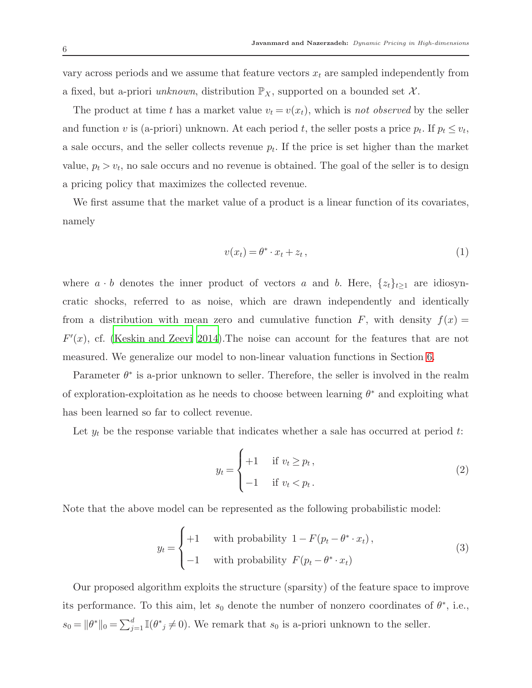vary across periods and we assume that feature vectors  $x_t$  are sampled independently from a fixed, but a-priori *unknown*, distribution  $\mathbb{P}_X$ , supported on a bounded set X.

The product at time t has a market value  $v_t = v(x_t)$ , which is *not observed* by the seller and function v is (a-priori) unknown. At each period t, the seller posts a price  $p_t$ . If  $p_t \le v_t$ , a sale occurs, and the seller collects revenue  $p_t$ . If the price is set higher than the market value,  $p_t > v_t$ , no sale occurs and no revenue is obtained. The goal of the seller is to design a pricing policy that maximizes the collected revenue.

We first assume that the market value of a product is a linear function of its covariates, namely

<span id="page-5-0"></span>
$$
v(x_t) = \theta^* \cdot x_t + z_t, \qquad (1)
$$

where  $a \cdot b$  denotes the inner product of vectors a and b. Here,  $\{z_t\}_{t\geq 1}$  are idiosyncratic shocks, referred to as noise, which are drawn independently and identically from a distribution with mean zero and cumulative function F, with density  $f(x) =$  $F'(x)$ , cf. [\(Keskin and Zeevi 2014](#page-33-1)). The noise can account for the features that are not measured. We generalize our model to non-linear valuation functions in Section [6.](#page-14-0)

Parameter  $\theta^*$  is a-prior unknown to seller. Therefore, the seller is involved in the realm of exploration-exploitation as he needs to choose between learning  $\theta^*$  and exploiting what has been learned so far to collect revenue.

Let  $y_t$  be the response variable that indicates whether a sale has occurred at period t:

<span id="page-5-1"></span>
$$
y_t = \begin{cases} +1 & \text{if } v_t \ge p_t, \\ -1 & \text{if } v_t < p_t. \end{cases} \tag{2}
$$

Note that the above model can be represented as the following probabilistic model:

$$
y_t = \begin{cases} +1 & \text{with probability } 1 - F(p_t - \theta^* \cdot x_t), \\ -1 & \text{with probability } F(p_t - \theta^* \cdot x_t) \end{cases} \tag{3}
$$

Our proposed algorithm exploits the structure (sparsity) of the feature space to improve its performance. To this aim, let  $s_0$  denote the number of nonzero coordinates of  $\theta^*$ , i.e.,  $s_0 = ||\theta^*||_0 = \sum_{j=1}^d \mathbb{I}(\theta^*_{j} \neq 0)$ . We remark that  $s_0$  is a-priori unknown to the seller.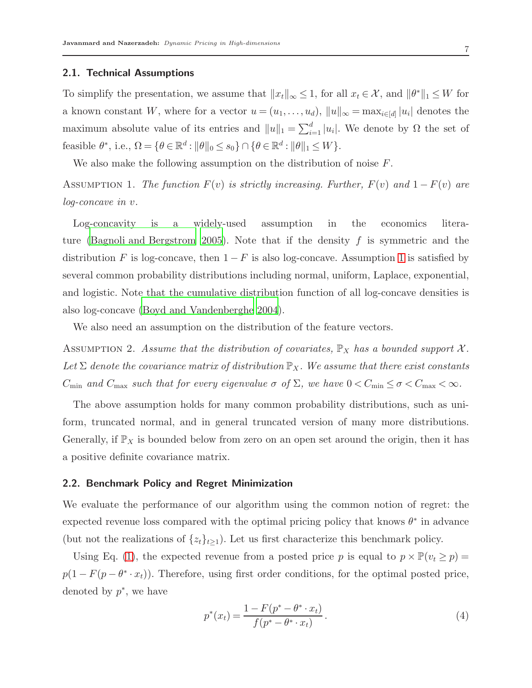# 2.1. Technical Assumptions

To simplify the presentation, we assume that  $||x_t||_{\infty} \leq 1$ , for all  $x_t \in \mathcal{X}$ , and  $||\theta^*||_1 \leq W$  for a known constant W, where for a vector  $u = (u_1, \ldots, u_d)$ ,  $||u||_{\infty} = \max_{i \in [d]} |u_i|$  denotes the maximum absolute value of its entries and  $||u||_1 = \sum_{i=1}^d |u_i|$ . We denote by  $\Omega$  the set of feasible  $\theta^*$ , i.e.,  $\Omega = \{ \theta \in \mathbb{R}^d : ||\theta||_0 \le s_0 \} \cap \{ \theta \in \mathbb{R}^d : ||\theta||_1 \le W \}.$ 

<span id="page-6-0"></span>We also make the following assumption on the distribution of noise  $F$ .

ASSUMPTION 1. *The function*  $F(v)$  *is strictly increasing. Further,*  $F(v)$  *and*  $1-F(v)$  *are log-concave in* v*.*

Log-concavity is a widely-used assumption in the economics litera-ture [\(Bagnoli and Bergstrom 2005\)](#page-32-12). Note that if the density  $f$  is symmetric and the distribution F is log-concave, then  $1-F$  is also log-concave. Assumption [1](#page-6-0) is satisfied by several common probability distributions including normal, uniform, Laplace, exponential, and logistic. Note that the cumulative distribution function of all log-concave densities is also log-concave [\(Boyd and Vandenberghe 2004](#page-32-13)).

<span id="page-6-2"></span>We also need an assumption on the distribution of the feature vectors.

ASSUMPTION 2. Assume that the distribution of covariates,  $\mathbb{P}_X$  has a bounded support X. Let  $\Sigma$  denote the covariance matrix of distribution  $\mathbb{P}_X$ . We assume that there exist constants  $C_{\min}$  *and*  $C_{\max}$  *such that for every eigenvalue*  $\sigma$  *of*  $\Sigma$ *, we have*  $0 < C_{\min} \leq \sigma < C_{\max} < \infty$ *.* 

The above assumption holds for many common probability distributions, such as uniform, truncated normal, and in general truncated version of many more distributions. Generally, if  $\mathbb{P}_X$  is bounded below from zero on an open set around the origin, then it has a positive definite covariance matrix.

### <span id="page-6-3"></span>2.2. Benchmark Policy and Regret Minimization

We evaluate the performance of our algorithm using the common notion of regret: the expected revenue loss compared with the optimal pricing policy that knows  $\theta^*$  in advance (but not the realizations of  $\{z_t\}_{t\geq 1}$ ). Let us first characterize this benchmark policy.

Using Eq. [\(1\)](#page-5-0), the expected revenue from a posted price p is equal to  $p \times \mathbb{P}(v_t \geq p) =$  $p(1 - F(p - \theta^* \cdot x_t))$ . Therefore, using first order conditions, for the optimal posted price, denoted by  $p^*$ , we have

<span id="page-6-1"></span>
$$
p^*(x_t) = \frac{1 - F(p^* - \theta^* \cdot x_t)}{f(p^* - \theta^* \cdot x_t)}.
$$
\n(4)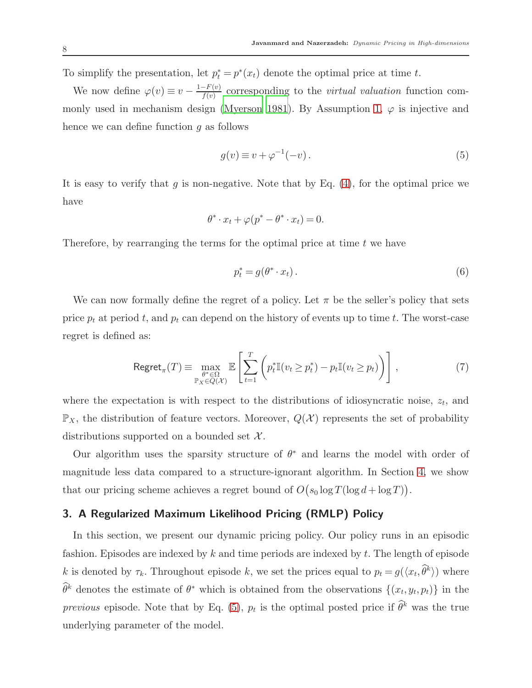To simplify the presentation, let  $p_t^* = p^*(x_t)$  denote the optimal price at time t.

We now define  $\varphi(v) \equiv v - \frac{1-F(v)}{f(v)}$  $\frac{f(v)}{f(v)}$  corresponding to the *virtual valuation* function com-monly used in mechanism design [\(Myerson 1981](#page-33-13)). By Assumption [1,](#page-6-0)  $\varphi$  is injective and hence we can define function g as follows

<span id="page-7-0"></span>
$$
g(v) \equiv v + \varphi^{-1}(-v). \tag{5}
$$

It is easy to verify that g is non-negative. Note that by Eq.  $(4)$ , for the optimal price we have

$$
\theta^* \cdot x_t + \varphi(p^* - \theta^* \cdot x_t) = 0.
$$

Therefore, by rearranging the terms for the optimal price at time  $t$  we have

<span id="page-7-1"></span>
$$
p_t^* = g(\theta^* \cdot x_t). \tag{6}
$$

We can now formally define the regret of a policy. Let  $\pi$  be the seller's policy that sets price  $p_t$  at period t, and  $p_t$  can depend on the history of events up to time t. The worst-case regret is defined as:

$$
\text{Regret}_{\pi}(T) \equiv \max_{\substack{\theta^* \in \Omega \\ \mathbb{P}_X \in Q(\mathcal{X})}} \mathbb{E}\left[\sum_{t=1}^T \left(p_t^* \mathbb{I}(v_t \ge p_t^*) - p_t \mathbb{I}(v_t \ge p_t)\right)\right],\tag{7}
$$

where the expectation is with respect to the distributions of idiosyncratic noise,  $z_t$ , and  $\mathbb{P}_X$ , the distribution of feature vectors. Moreover,  $Q(\mathcal{X})$  represents the set of probability distributions supported on a bounded set  $\mathcal{X}$ .

Our algorithm uses the sparsity structure of  $\theta^*$  and learns the model with order of magnitude less data compared to a structure-ignorant algorithm. In Section [4,](#page-25-0) we show that our pricing scheme achieves a regret bound of  $O(s_0 \log T (\log d + \log T))$ .

# 3. A Regularized Maximum Likelihood Pricing (RMLP) Policy

In this section, we present our dynamic pricing policy. Our policy runs in an episodic fashion. Episodes are indexed by  $k$  and time periods are indexed by  $t$ . The length of episode k is denoted by  $\tau_k$ . Throughout episode k, we set the prices equal to  $p_t = g(\langle x_t, \theta^k \rangle)$  where  $\theta^k$  denotes the estimate of  $\theta^*$  which is obtained from the observations  $\{(x_t, y_t, p_t)\}\$ in the *previous* episode. Note that by Eq. [\(5\)](#page-7-0),  $p_t$  is the optimal posted price if  $\hat{\theta}^k$  was the true underlying parameter of the model.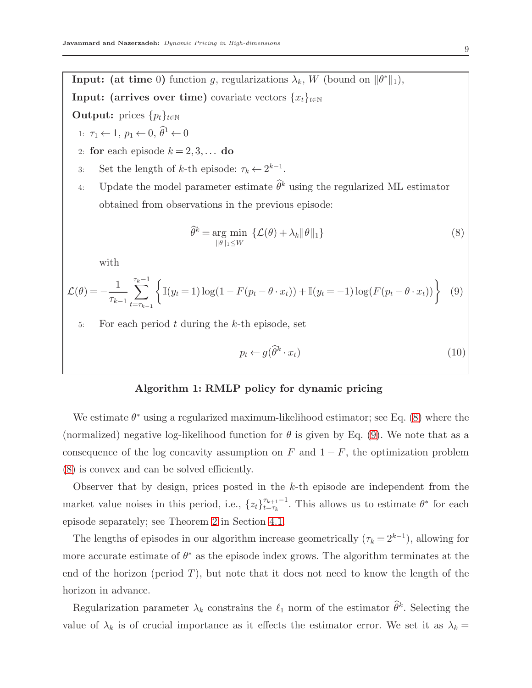**Input:** (at time 0) function g, regularizations  $\lambda_k$ , W (bound on  $\|\theta^*\|_1$ ),

Input: (arrives over time) covariate vectors  $\{x_t\}_{t\in\mathbb{N}}$ 

**Output:** prices  $\{p_t\}_{t \in \mathbb{N}}$ 

- 1:  $\tau_1 \leftarrow 1, p_1 \leftarrow 0, \hat{\theta}^1 \leftarrow 0$
- 2: for each episode  $k = 2, 3, \dots$  do
- 3: Set the length of k-th episode:  $\tau_k \leftarrow 2^{k-1}$ .
- 4: Update the model parameter estimate  $\widehat{\theta}^k$  using the regularized ML estimator obtained from observations in the previous episode:

$$
\widehat{\theta}^k = \underset{\|\theta\|_1 \le W}{\arg \min} \left\{ \mathcal{L}(\theta) + \lambda_k \|\theta\|_1 \right\} \tag{8}
$$

with

$$
\mathcal{L}(\theta) = -\frac{1}{\tau_{k-1}} \sum_{t=\tau_{k-1}}^{\tau_k-1} \left\{ \mathbb{I}(y_t = 1) \log(1 - F(p_t - \theta \cdot x_t)) + \mathbb{I}(y_t = -1) \log(F(p_t - \theta \cdot x_t)) \right\} \tag{9}
$$

<span id="page-8-2"></span>5: For each period  $t$  during the  $k$ -th episode, set

<span id="page-8-1"></span><span id="page-8-0"></span>
$$
p_t \leftarrow g(\hat{\theta}^k \cdot x_t) \tag{10}
$$

# Algorithm 1: RMLP policy for dynamic pricing

We estimate  $\theta^*$  using a regularized maximum-likelihood estimator; see Eq. [\(8\)](#page-8-0) where the (normalized) negative log-likelihood function for  $\theta$  is given by Eq. [\(9\)](#page-8-1). We note that as a consequence of the log concavity assumption on F and  $1-F$ , the optimization problem [\(8\)](#page-8-0) is convex and can be solved efficiently.

Observer that by design, prices posted in the  $k$ -th episode are independent from the market value noises in this period, i.e.,  $\{z_t\}_{t=\tau_k}^{\tau_{k+1}-1}$  $\tau_{k+1}^{-1}$ . This allows us to estimate  $\theta^*$  for each episode separately; see Theorem [2](#page-11-0) in Section [4.1.](#page-10-0)

The lengths of episodes in our algorithm increase geometrically  $(\tau_k = 2^{k-1})$ , allowing for more accurate estimate of  $\theta^*$  as the episode index grows. The algorithm terminates at the end of the horizon (period  $T$ ), but note that it does not need to know the length of the horizon in advance.

Regularization parameter  $\lambda_k$  constrains the  $\ell_1$  norm of the estimator  $\hat{\theta}^k$ . Selecting the value of  $\lambda_k$  is of crucial importance as it effects the estimator error. We set it as  $\lambda_k =$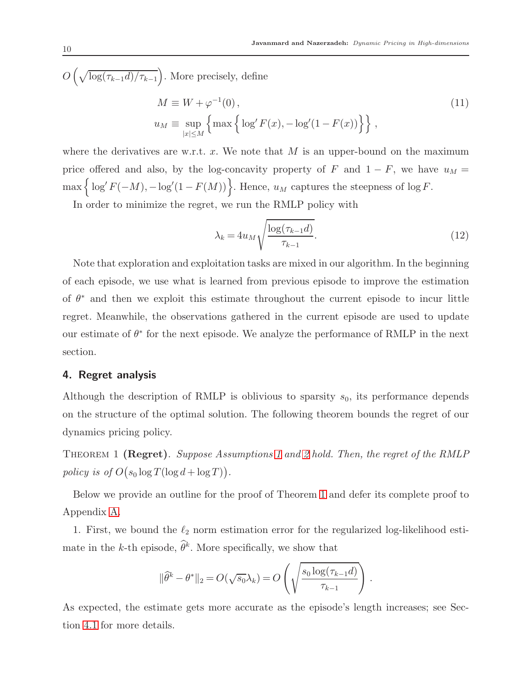<span id="page-9-1"></span> $O\left(\sqrt{\log(\tau_{k-1}d)/\tau_{k-1}}\right)$ . More precisely, define  $M \equiv W + \varphi^{-1}$  $(0),$  (11)  $u_M \equiv \sup_{|x| \leq M}$  $\left\{\max\left\{\right. \log' F(x), -\log'(1-F(x))\right\}\right\},$ 

where the derivatives are w.r.t. x. We note that  $M$  is an upper-bound on the maximum price offered and also, by the log-concavity property of F and  $1 - F$ , we have  $u_M =$  $\max\left\{\log' F(-M), -\log'(1 - F(M))\right\}$ . Hence,  $u_M$  captures the steepness of  $\log F$ .

In order to minimize the regret, we run the RMLP policy with

$$
\lambda_k = 4u_M \sqrt{\frac{\log(\tau_{k-1}d)}{\tau_{k-1}}}.\tag{12}
$$

Note that exploration and exploitation tasks are mixed in our algorithm. In the beginning of each episode, we use what is learned from previous episode to improve the estimation of  $\theta^*$  and then we exploit this estimate throughout the current episode to incur little regret. Meanwhile, the observations gathered in the current episode are used to update our estimate of  $\theta^*$  for the next episode. We analyze the performance of RMLP in the next section.

# 4. Regret analysis

Although the description of RMLP is oblivious to sparsity  $s_0$ , its performance depends on the structure of the optimal solution. The following theorem bounds the regret of our dynamics pricing policy.

<span id="page-9-0"></span>Theorem 1 (Regret). *Suppose Assumptions [1](#page-6-0) and [2](#page-6-2) hold. Then, the regret of the RMLP*  $policy \; is \; of \; O(s_0 \log T (\log d + \log T)).$ 

Below we provide an outline for the proof of Theorem [1](#page-9-0) and defer its complete proof to Appendix [A.](#page-18-0)

1. First, we bound the  $\ell_2$  norm estimation error for the regularized log-likelihood estimate in the k-th episode,  $\hat{\theta}^k$ . More specifically, we show that

$$
\|\widehat{\theta}^k - \theta^*\|_2 = O(\sqrt{s_0} \lambda_k) = O\left(\sqrt{\frac{s_0 \log(\tau_{k-1} d)}{\tau_{k-1}}}\right).
$$

As expected, the estimate gets more accurate as the episode's length increases; see Section [4.1](#page-10-0) for more details.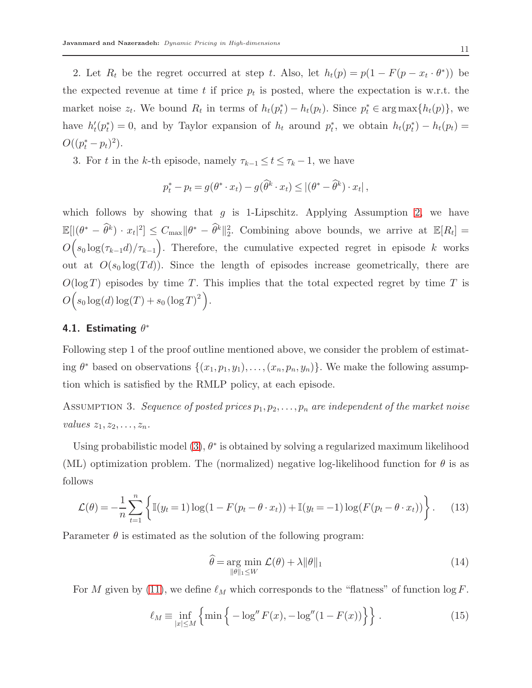2. Let  $R_t$  be the regret occurred at step t. Also, let  $h_t(p) = p(1 - F(p - x_t \cdot \theta^*))$  be the expected revenue at time t if price  $p_t$  is posted, where the expectation is w.r.t. the market noise  $z_t$ . We bound  $R_t$  in terms of  $h_t(p_t^*) - h_t(p_t)$ . Since  $p_t^* \in \arg \max \{h_t(p)\}$ , we have  $h'_t(p_t^*) = 0$ , and by Taylor expansion of  $h_t$  around  $p_t^*$ , we obtain  $h_t(p_t^*) - h_t(p_t) =$  $O((p_t^* - p_t)^2).$ 

3. For t in the k-th episode, namely  $\tau_{k-1} \leq t \leq \tau_k - 1$ , we have

$$
p_t^* - p_t = g(\theta^* \cdot x_t) - g(\widehat{\theta}^k \cdot x_t) \leq |(\theta^* - \widehat{\theta}^k) \cdot x_t|,
$$

which follows by showing that g is 1-Lipschitz. Applying Assumption [2,](#page-6-2) we have  $\mathbb{E}[|(\theta^* - \widehat{\theta}^k) \cdot x_t|^2] \leq C_{\text{max}} \|\theta^* - \widehat{\theta}^k\|_2^2$ . Combining above bounds, we arrive at  $\mathbb{E}[R_t] =$  $O(s_0 \log(\tau_{k-1} d)/\tau_{k-1})$ . Therefore, the cumulative expected regret in episode k works out at  $O(s_0 \log(T d))$ . Since the length of episodes increase geometrically, there are  $O(\log T)$  episodes by time T. This implies that the total expected regret by time T is  $O(s_0 \log(d) \log(T) + s_0 (\log T)^2).$ 

# <span id="page-10-0"></span>4.1. Estimating  $\theta^*$

Following step 1 of the proof outline mentioned above, we consider the problem of estimating  $\theta^*$  based on observations  $\{(x_1, p_1, y_1), \ldots, (x_n, p_n, y_n)\}\.$  We make the following assumption which is satisfied by the RMLP policy, at each episode.

ASSUMPTION 3. *Sequence of posted prices*  $p_1, p_2, \ldots, p_n$  *are independent of the market noise values*  $z_1, z_2, \ldots, z_n$ .

Using probabilistic model  $(3)$ ,  $\theta^*$  is obtained by solving a regularized maximum likelihood (ML) optimization problem. The (normalized) negative log-likelihood function for  $\theta$  is as follows

$$
\mathcal{L}(\theta) = -\frac{1}{n} \sum_{t=1}^{n} \left\{ \mathbb{I}(y_t = 1) \log(1 - F(p_t - \theta \cdot x_t)) + \mathbb{I}(y_t = -1) \log(F(p_t - \theta \cdot x_t)) \right\}.
$$
 (13)

Parameter  $\theta$  is estimated as the solution of the following program:

<span id="page-10-4"></span><span id="page-10-3"></span><span id="page-10-2"></span><span id="page-10-1"></span>
$$
\widehat{\theta} = \underset{\|\theta\|_1 \le W}{\arg \min} \mathcal{L}(\theta) + \lambda \|\theta\|_1 \tag{14}
$$

For M given by [\(11\)](#page-9-1), we define  $\ell_M$  which corresponds to the "flatness" of function  $\log F$ .

$$
\ell_M \equiv \inf_{|x| \le M} \left\{ \min \left\{ -\log'' F(x), -\log''(1 - F(x)) \right\} \right\}.
$$
 (15)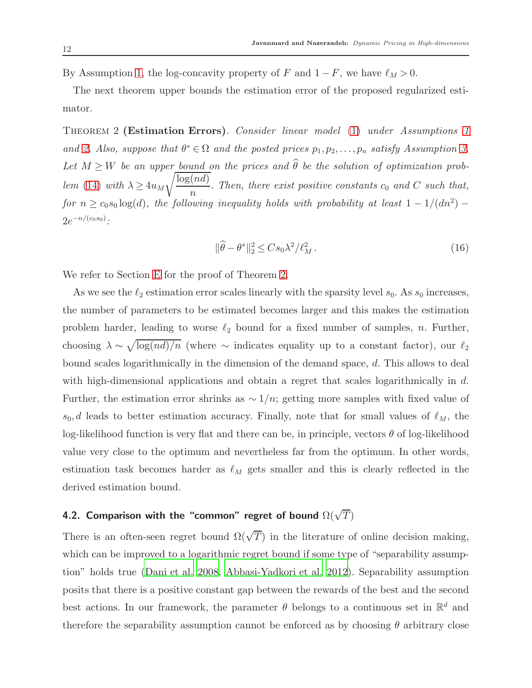By Assumption [1,](#page-6-0) the log-concavity property of F and  $1-F$ , we have  $\ell_M > 0$ .

<span id="page-11-0"></span>The next theorem upper bounds the estimation error of the proposed regularized estimator.

Theorem 2 (Estimation Errors). *Consider linear model* [\(1\)](#page-5-0) *under Assumptions [1](#page-6-0) and* [2.](#page-6-2) *Also, suppose that*  $\theta^* \in \Omega$  *and the posted prices*  $p_1, p_2, \ldots, p_n$  *satisfy Assumption [3.](#page-10-1)* Let  $M \geq W$  *be an upper bound on the prices and*  $\widehat{\theta}$  *be the solution of optimization problem* [\(14\)](#page-10-2) *with*  $\lambda \ge 4u_M$  $log(nd)$  $\frac{\partial}{\partial n}$ . Then, there exist positive constants  $c_0$  and C such that,  $for n \geq c_0 s_0 \log(d)$ , the following inequality holds with probability at least  $1 - 1/(dn^2)$  $2e^{-n/(c_0s_0)}$ :

<span id="page-11-1"></span>
$$
\|\widehat{\theta} - \theta^*\|_2^2 \leq C s_0 \lambda^2 / \ell_M^2. \tag{16}
$$

We refer to Section [E](#page-27-0) for the proof of Theorem [2.](#page-11-0)

As we see the  $\ell_2$  estimation error scales linearly with the sparsity level  $s_0$ . As  $s_0$  increases, the number of parameters to be estimated becomes larger and this makes the estimation problem harder, leading to worse  $\ell_2$  bound for a fixed number of samples, n. Further, choosing  $\lambda \sim \sqrt{\log(nd)/n}$  (where ∼ indicates equality up to a constant factor), our  $\ell_2$ bound scales logarithmically in the dimension of the demand space, d. This allows to deal with high-dimensional applications and obtain a regret that scales logarithmically in  $d$ . Further, the estimation error shrinks as  $\sim 1/n$ ; getting more samples with fixed value of  $s_0, d$  leads to better estimation accuracy. Finally, note that for small values of  $\ell_M$ , the log-likelihood function is very flat and there can be, in principle, vectors  $\theta$  of log-likelihood value very close to the optimum and nevertheless far from the optimum. In other words, estimation task becomes harder as  $\ell_M$  gets smaller and this is clearly reflected in the derived estimation bound.

# 4.2. Comparison with the "common" regret of bound  $\Omega(\sqrt{T})$

There is an often-seen regret bound  $\Omega(\sqrt{T})$  in the literature of online decision making, which can be improved to a logarithmic regret bound if some type of "separability assumption" holds true [\(Dani et al. 2008,](#page-32-14) [Abbasi-Yadkori et al. 2012](#page-31-6)). Separability assumption posits that there is a positive constant gap between the rewards of the best and the second best actions. In our framework, the parameter  $\theta$  belongs to a continuous set in  $\mathbb{R}^d$  and therefore the separability assumption cannot be enforced as by choosing  $\theta$  arbitrary close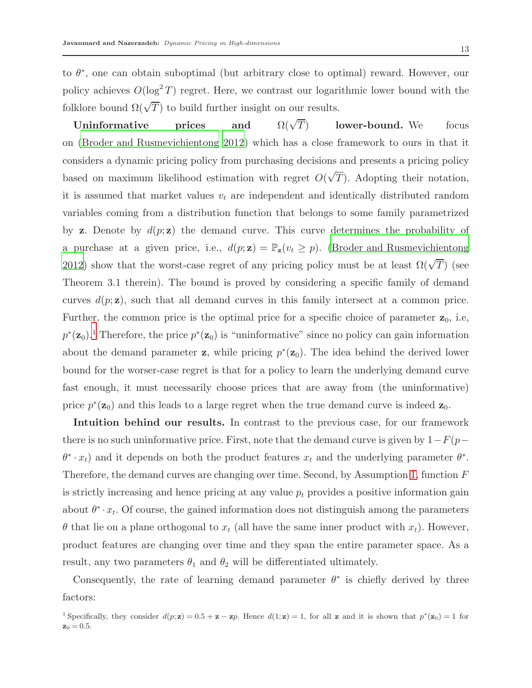to  $\theta^*$ , one can obtain suboptimal (but arbitrary close to optimal) reward. However, our policy achieves  $O(\log^2 T)$  regret. Here, we contrast our logarithmic lower bound with the folklore bound  $\Omega(\sqrt{T})$  to build further insight on our results.

Uninformative prices and  $\Omega(\sqrt{T})$ lower-bound. We focus on [\(Broder and Rusmevichientong 2012](#page-32-2)) which has a close framework to ours in that it considers a dynamic pricing policy from purchasing decisions and presents a pricing policy based on maximum likelihood estimation with regret  $O(\sqrt{T})$ . Adopting their notation, it is assumed that market values  $v_t$  are independent and identically distributed random variables coming from a distribution function that belongs to some family parametrized by **z**. Denote by  $d(p; \mathbf{z})$  the demand curve. This curve determines the probability of a purchase at a given price, i.e.,  $d(p; \mathbf{z}) = \mathbb{P}_{\mathbf{z}}(v_t \geq p)$ . [\(Broder and Rusmevichientong](#page-32-2) [2012\)](#page-32-2) show that the worst-case regret of any pricing policy must be at least  $\Omega(\sqrt{T})$  (see Theorem 3.1 therein). The bound is proved by considering a specific family of demand curves  $d(p; \mathbf{z})$ , such that all demand curves in this family intersect at a common price. Further, the common price is the optimal price for a specific choice of parameter  $z_0$ , i.e,  $p^*(\mathbf{z}_0)$ .<sup>[1](#page-12-0)</sup> Therefore, the price  $p^*(\mathbf{z}_0)$  is "uninformative" since no policy can gain information about the demand parameter **z**, while pricing  $p^*(\mathbf{z}_0)$ . The idea behind the derived lower bound for the worser-case regret is that for a policy to learn the underlying demand curve fast enough, it must necessarily choose prices that are away from (the uninformative) price  $p^*(\mathbf{z}_0)$  and this leads to a large regret when the true demand curve is indeed  $\mathbf{z}_0$ .

Intuition behind our results. In contrast to the previous case, for our framework there is no such uninformative price. First, note that the demand curve is given by  $1-F(p \theta^* \cdot x_t$ ) and it depends on both the product features  $x_t$  and the underlying parameter  $\theta^*$ . Therefore, the demand curves are changing over time. Second, by Assumption [1,](#page-6-0) function F is strictly increasing and hence pricing at any value  $p_t$  provides a positive information gain about  $\theta^* \cdot x_t$ . Of course, the gained information does not distinguish among the parameters  $\theta$  that lie on a plane orthogonal to  $x_t$  (all have the same inner product with  $x_t$ ). However, product features are changing over time and they span the entire parameter space. As a result, any two parameters  $\theta_1$  and  $\theta_2$  will be differentiated ultimately.

Consequently, the rate of learning demand parameter  $\theta^*$  is chiefly derived by three factors:

<span id="page-12-0"></span><sup>&</sup>lt;sup>1</sup> Specifically, they consider  $d(p; \mathbf{z}) = 0.5 + \mathbf{z} - \mathbf{z}p$ . Hence  $d(1; \mathbf{z}) = 1$ , for all **z** and it is shown that  $p^*(\mathbf{z}_0) = 1$  for  $z_0 = 0.5$ .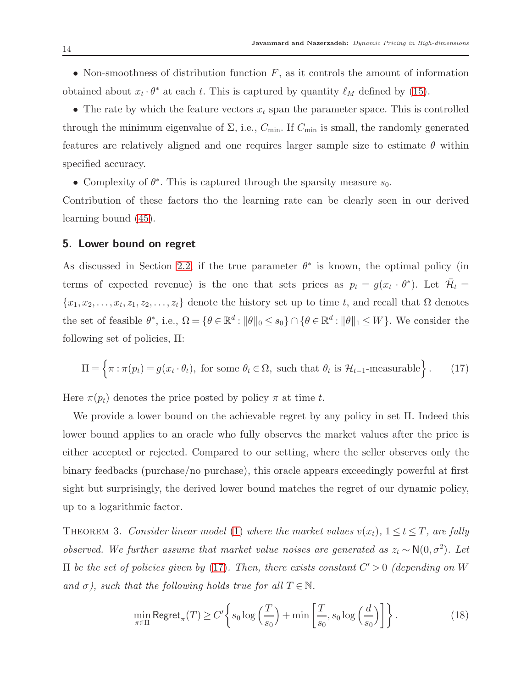• Non-smoothness of distribution function  $F$ , as it controls the amount of information obtained about  $x_t \cdot \theta^*$  at each t. This is captured by quantity  $\ell_M$  defined by [\(15\)](#page-10-3).

• The rate by which the feature vectors  $x_t$  span the parameter space. This is controlled through the minimum eigenvalue of  $\Sigma$ , i.e.,  $C_{\min}$ . If  $C_{\min}$  is small, the randomly generated features are relatively aligned and one requires larger sample size to estimate  $\theta$  within specified accuracy.

• Complexity of  $\theta^*$ . This is captured through the sparsity measure  $s_0$ .

Contribution of these factors tho the learning rate can be clearly seen in our derived learning bound [\(45\)](#page-22-0).

# 5. Lower bound on regret

As discussed in Section [2.2,](#page-6-3) if the true parameter  $\theta^*$  is known, the optimal policy (in terms of expected revenue) is the one that sets prices as  $p_t = g(x_t \cdot \theta^*)$ . Let  $\bar{\mathcal{H}}_t =$  ${x_1, x_2, \ldots, x_t, z_1, z_2, \ldots, z_t}$  denote the history set up to time t, and recall that  $\Omega$  denotes the set of feasible  $\theta^*$ , i.e.,  $\Omega = \{ \theta \in \mathbb{R}^d : ||\theta||_0 \le s_0 \} \cap \{ \theta \in \mathbb{R}^d : ||\theta||_1 \le W \}$ . We consider the following set of policies, Π:

<span id="page-13-0"></span>
$$
\Pi = \left\{ \pi : \pi(p_t) = g(x_t \cdot \theta_t), \text{ for some } \theta_t \in \Omega, \text{ such that } \theta_t \text{ is } \mathcal{H}_{t-1}\text{-measurable} \right\}.
$$
 (17)

Here  $\pi(p_t)$  denotes the price posted by policy  $\pi$  at time t.

We provide a lower bound on the achievable regret by any policy in set Π. Indeed this lower bound applies to an oracle who fully observes the market values after the price is either accepted or rejected. Compared to our setting, where the seller observes only the binary feedbacks (purchase/no purchase), this oracle appears exceedingly powerful at first sight but surprisingly, the derived lower bound matches the regret of our dynamic policy, up to a logarithmic factor.

<span id="page-13-1"></span>THEOREM 3. *Consider linear model* [\(1\)](#page-5-0) where the market values  $v(x_t)$ ,  $1 \le t \le T$ , are fully *observed.* We further assume that market value noises are generated as  $z_t \sim N(0, \sigma^2)$ . Let Π *be the set of policies given by* [\(17\)](#page-13-0)*. Then, there exists constant* C ′ > 0 *(depending on* W *and*  $\sigma$ *), such that the following holds true for all*  $T \in \mathbb{N}$ *.* 

$$
\min_{\pi \in \Pi} \text{Regret}_{\pi}(T) \ge C' \left\{ s_0 \log \left( \frac{T}{s_0} \right) + \min \left[ \frac{T}{s_0}, s_0 \log \left( \frac{d}{s_0} \right) \right] \right\}.
$$
 (18)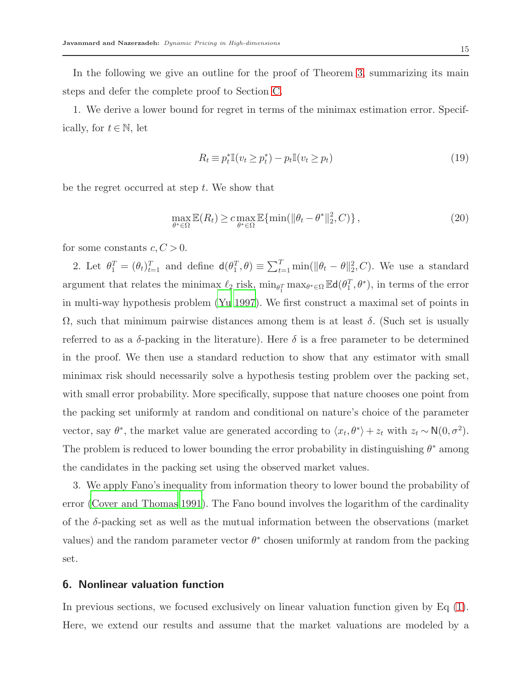In the following we give an outline for the proof of Theorem [3,](#page-13-1) summarizing its main steps and defer the complete proof to Section [C.](#page-23-0)

1. We derive a lower bound for regret in terms of the minimax estimation error. Specifically, for  $t \in \mathbb{N}$ , let

$$
R_t \equiv p_t^* \mathbb{I}(v_t \ge p_t^*) - p_t \mathbb{I}(v_t \ge p_t)
$$
\n
$$
(19)
$$

be the regret occurred at step t. We show that

$$
\max_{\theta^* \in \Omega} \mathbb{E}(R_t) \ge c \max_{\theta^* \in \Omega} \mathbb{E}\{\min(\|\theta_t - \theta^*\|_2^2, C)\},\tag{20}
$$

for some constants  $c, C > 0$ .

2. Let  $\theta_1^T = (\theta_t)_{t=1}^T$  and define  $d(\theta_1^T, \theta) \equiv \sum_{t=1}^T \min(||\theta_t - \theta||_2^2, C)$ . We use a standard argument that relates the minimax  $\ell_2$  risk,  $\min_{\theta_1^T} \max_{\theta^* \in \Omega} \mathbb{E} d(\theta_1^T, \theta^*)$ , in terms of the error in multi-way hypothesis problem [\(Yu 1997](#page-34-9)). We first construct a maximal set of points in  $\Omega$ , such that minimum pairwise distances among them is at least  $\delta$ . (Such set is usually referred to as a  $\delta$ -packing in the literature). Here  $\delta$  is a free parameter to be determined in the proof. We then use a standard reduction to show that any estimator with small minimax risk should necessarily solve a hypothesis testing problem over the packing set, with small error probability. More specifically, suppose that nature chooses one point from the packing set uniformly at random and conditional on nature's choice of the parameter vector, say  $\theta^*$ , the market value are generated according to  $\langle x_t, \theta^* \rangle + z_t$  with  $z_t \sim N(0, \sigma^2)$ . The problem is reduced to lower bounding the error probability in distinguishing  $\theta^*$  among the candidates in the packing set using the observed market values.

3. We apply Fano's inequality from information theory to lower bound the probability of error [\(Cover and Thomas 1991](#page-32-15)). The Fano bound involves the logarithm of the cardinality of the  $\delta$ -packing set as well as the mutual information between the observations (market values) and the random parameter vector  $\theta^*$  chosen uniformly at random from the packing set.

## <span id="page-14-0"></span>6. Nonlinear valuation function

In previous sections, we focused exclusively on linear valuation function given by Eq [\(1\)](#page-5-0). Here, we extend our results and assume that the market valuations are modeled by a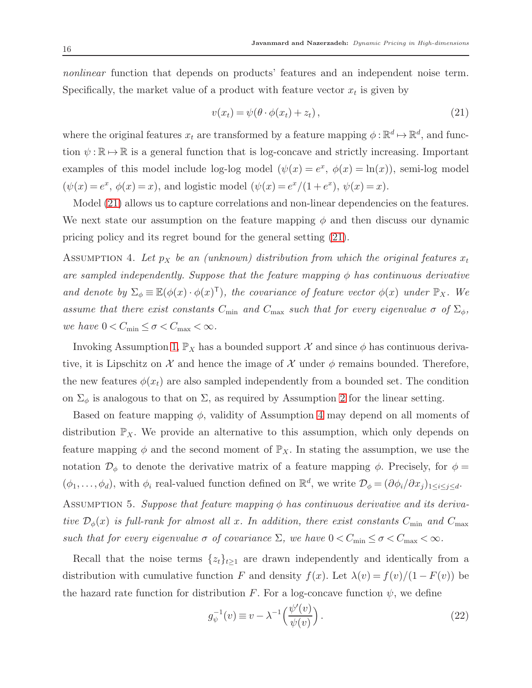*nonlinear* function that depends on products' features and an independent noise term. Specifically, the market value of a product with feature vector  $x_t$  is given by

<span id="page-15-0"></span>
$$
v(x_t) = \psi(\theta \cdot \phi(x_t) + z_t), \qquad (21)
$$

where the original features  $x_t$  are transformed by a feature mapping  $\phi : \mathbb{R}^d \mapsto \mathbb{R}^d$ , and function  $\psi : \mathbb{R} \to \mathbb{R}$  is a general function that is log-concave and strictly increasing. Important examples of this model include log-log model  $(\psi(x) = e^x, \ \phi(x) = \ln(x))$ , semi-log model  $(\psi(x)=e^x, \phi(x)=x)$ , and logistic model  $(\psi(x)=e^x/(1+e^x), \psi(x)=x)$ .

Model [\(21\)](#page-15-0) allows us to capture correlations and non-linear dependencies on the features. We next state our assumption on the feature mapping  $\phi$  and then discuss our dynamic pricing policy and its regret bound for the general setting [\(21\)](#page-15-0).

<span id="page-15-1"></span>ASSUMPTION 4. Let  $p_X$  be an (unknown) distribution from which the original features  $x_t$ *are sampled independently. Suppose that the feature mapping*  $\phi$  *has continuous derivative and denote by*  $\Sigma_{\phi} \equiv \mathbb{E}(\phi(x) \cdot \phi(x)^{\mathsf{T}})$ , the covariance of feature vector  $\phi(x)$  under  $\mathbb{P}_X$ . We *assume that there exist constants*  $C_{\text{min}}$  *and*  $C_{\text{max}}$  *such that for every eigenvalue*  $\sigma$  *of*  $\Sigma_{\phi}$ *, we have*  $0 < C_{\min} \leq \sigma < C_{\max} < \infty$ .

Invoking Assumption [1,](#page-6-0)  $\mathbb{P}_X$  has a bounded support X and since  $\phi$  has continuous derivative, it is Lipschitz on X and hence the image of X under  $\phi$  remains bounded. Therefore, the new features  $\phi(x_t)$  are also sampled independently from a bounded set. The condition on  $\Sigma_{\phi}$  is analogous to that on  $\Sigma$ , as required by Assumption [2](#page-6-2) for the linear setting.

Based on feature mapping  $\phi$ , validity of Assumption [4](#page-15-1) may depend on all moments of distribution  $\mathbb{P}_X$ . We provide an alternative to this assumption, which only depends on feature mapping  $\phi$  and the second moment of  $\mathbb{P}_X$ . In stating the assumption, we use the notation  $\mathcal{D}_{\phi}$  to denote the derivative matrix of a feature mapping  $\phi$ . Precisely, for  $\phi =$  $(\phi_1,\ldots,\phi_d)$ , with  $\phi_i$  real-valued function defined on  $\mathbb{R}^d$ , we write  $\mathcal{D}_{\phi} = (\partial \phi_i/\partial x_j)_{1 \leq i \leq j \leq d}$ .

<span id="page-15-3"></span>ASSUMPTION 5. Suppose that feature mapping *φ* has continuous derivative and its deriva*tive*  $\mathcal{D}_{\phi}(x)$  *is full-rank for almost all x. In addition, there exist constants*  $C_{\min}$  and  $C_{\max}$ *such that for every eigenvalue*  $\sigma$  *of covariance*  $\Sigma$ *, we have*  $0 < C_{\min} \leq \sigma < C_{\max} < \infty$ *.* 

Recall that the noise terms  $\{z_t\}_{t\geq 1}$  are drawn independently and identically from a distribution with cumulative function F and density  $f(x)$ . Let  $\lambda(v) = f(v)/(1 - F(v))$  be the hazard rate function for distribution F. For a log-concave function  $\psi$ , we define

<span id="page-15-2"></span>
$$
g_{\psi}^{-1}(v) \equiv v - \lambda^{-1} \left( \frac{\psi'(v)}{\psi(v)} \right). \tag{22}
$$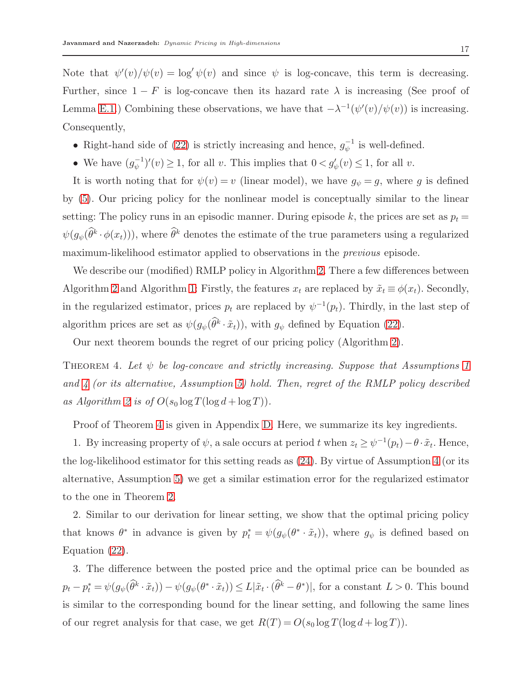Note that  $\psi'(v)/\psi(v) = \log \psi(v)$  and since  $\psi$  is log-concave, this term is decreasing. Further, since  $1 - F$  is log-concave then its hazard rate  $\lambda$  is increasing (See proof of Lemma [E.1.](#page-27-1)) Combining these observations, we have that  $-\lambda^{-1}(\psi'(v)/\psi(v))$  is increasing. Consequently,

- Right-hand side of [\(22\)](#page-15-2) is strictly increasing and hence,  $g_{\psi}^{-1}$  $\bar{\psi}^{-1}$  is well-defined.
- We have  $(g_{\psi}^{-1})$  $(y_{\psi}^{-1})'(v) \ge 1$ , for all v. This implies that  $0 < g'_{\psi}(v) \le 1$ , for all v.

It is worth noting that for  $\psi(v) = v$  (linear model), we have  $g_{\psi} = g$ , where g is defined by [\(5\)](#page-7-0). Our pricing policy for the nonlinear model is conceptually similar to the linear setting: The policy runs in an episodic manner. During episode k, the prices are set as  $p_t =$  $\psi(g_{\psi}(\theta^{k} \cdot \phi(x_t))),$  where  $\theta^{k}$  denotes the estimate of the true parameters using a regularized maximum-likelihood estimator applied to observations in the *previous* episode.

We describe our (modified) RMLP policy in Algorithm [2.](#page-17-0) There a few differences between Algorithm [2](#page-17-0) and Algorithm [1:](#page-8-2) Firstly, the features  $x_t$  are replaced by  $\tilde{x}_t \equiv \phi(x_t)$ . Secondly, in the regularized estimator, prices  $p_t$  are replaced by  $\psi^{-1}(p_t)$ . Thirdly, in the last step of algorithm prices are set as  $\psi(g_{\psi}(\hat{\theta}^k \cdot \tilde{x}_t)),$  with  $g_{\psi}$  defined by Equation [\(22\)](#page-15-2).

<span id="page-16-0"></span>Our next theorem bounds the regret of our pricing policy (Algorithm [2\)](#page-17-0).

THEOREM 4. Let  $\psi$  be log-concave and strictly increasing. Suppose that Assumptions [1](#page-6-0) *and [4](#page-15-1) (or its alternative, Assumption [5\)](#page-15-3) hold. Then, regret of the RMLP policy described* as Algorithm [2](#page-17-0) is of  $O(s_0 \log T(\log d + \log T))$ .

Proof of Theorem [4](#page-16-0) is given in Appendix [D.](#page-25-0) Here, we summarize its key ingredients.

1. By increasing property of  $\psi$ , a sale occurs at period t when  $z_t \geq \psi^{-1}(p_t) - \theta \cdot \tilde{x}_t$ . Hence, the log-likelihood estimator for this setting reads as [\(24\)](#page-17-1). By virtue of Assumption [4](#page-15-1) (or its alternative, Assumption [5\)](#page-15-3) we get a similar estimation error for the regularized estimator to the one in Theorem [2.](#page-11-0)

2. Similar to our derivation for linear setting, we show that the optimal pricing policy that knows  $\theta^*$  in advance is given by  $p_t^* = \psi(g_\psi(\theta^* \cdot \tilde{x}_t))$ , where  $g_\psi$  is defined based on Equation [\(22\)](#page-15-2).

3. The difference between the posted price and the optimal price can be bounded as  $p_t - p_t^* = \psi(g_\psi(\hat{\theta}^k \cdot \tilde{x}_t)) - \psi(g_\psi(\theta^* \cdot \tilde{x}_t)) \leq L|\tilde{x}_t \cdot (\hat{\theta}^k - \theta^*)|$ , for a constant  $L > 0$ . This bound is similar to the corresponding bound for the linear setting, and following the same lines of our regret analysis for that case, we get  $R(T) = O(s_0 \log T(\log d + \log T))$ .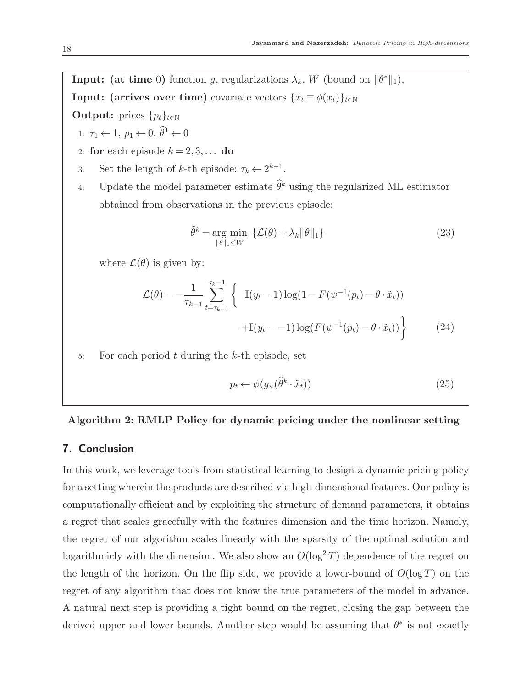**Input:** (at time 0) function g, regularizations  $\lambda_k$ , W (bound on  $\|\theta^*\|_1$ ), Input: (arrives over time) covariate vectors  $\{\tilde{x}_t \equiv \phi(x_t)\}_{t \in \mathbb{N}}$ 

**Output:** prices  $\{p_t\}_{t \in \mathbb{N}}$ 

- 1:  $\tau_1 \leftarrow 1, p_1 \leftarrow 0, \hat{\theta}^1 \leftarrow 0$
- 2: for each episode  $k = 2, 3, \dots$  do
- 3: Set the length of k-th episode:  $\tau_k \leftarrow 2^{k-1}$ .
- 4: Update the model parameter estimate  $\widehat{\theta}^k$  using the regularized ML estimator obtained from observations in the previous episode:

$$
\widehat{\theta}^k = \underset{\|\theta\|_1 \le W}{\arg \min} \left\{ \mathcal{L}(\theta) + \lambda_k \|\theta\|_1 \right\} \tag{23}
$$

where  $\mathcal{L}(\theta)$  is given by:

$$
\mathcal{L}(\theta) = -\frac{1}{\tau_{k-1}} \sum_{t=\tau_{k-1}}^{\tau_k-1} \left\{ \mathbb{I}(y_t = 1) \log(1 - F(\psi^{-1}(p_t) - \theta \cdot \tilde{x}_t)) + \mathbb{I}(y_t = -1) \log(F(\psi^{-1}(p_t) - \theta \cdot \tilde{x}_t)) \right\}
$$
(24)

5: For each period  $t$  during the  $k$ -th episode, set

<span id="page-17-1"></span>
$$
p_t \leftarrow \psi(g_\psi(\widehat{\theta}^k \cdot \tilde{x}_t)) \tag{25}
$$

# <span id="page-17-0"></span>Algorithm 2: RMLP Policy for dynamic pricing under the nonlinear setting

# 7. Conclusion

In this work, we leverage tools from statistical learning to design a dynamic pricing policy for a setting wherein the products are described via high-dimensional features. Our policy is computationally efficient and by exploiting the structure of demand parameters, it obtains a regret that scales gracefully with the features dimension and the time horizon. Namely, the regret of our algorithm scales linearly with the sparsity of the optimal solution and logarithmicly with the dimension. We also show an  $O(\log^2 T)$  dependence of the regret on the length of the horizon. On the flip side, we provide a lower-bound of  $O(\log T)$  on the regret of any algorithm that does not know the true parameters of the model in advance. A natural next step is providing a tight bound on the regret, closing the gap between the derived upper and lower bounds. Another step would be assuming that  $\theta^*$  is not exactly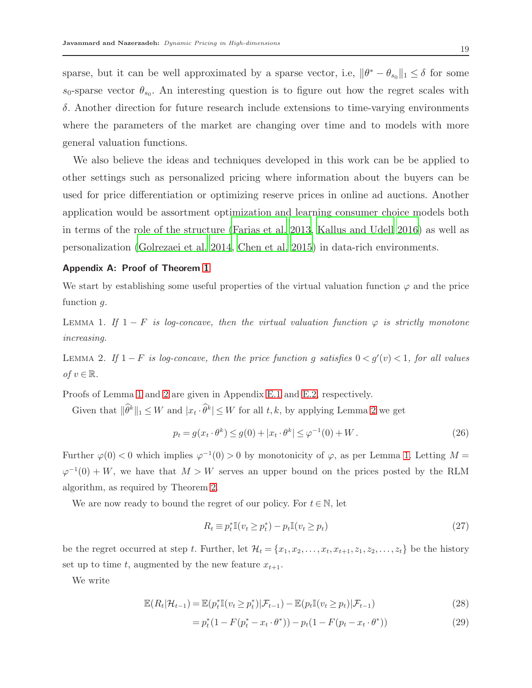sparse, but it can be well approximated by a sparse vector, i.e,  $\|\theta^* - \theta_{s_0}\|_1 \leq \delta$  for some  $s_0$ -sparse vector  $\theta_{s_0}$ . An interesting question is to figure out how the regret scales with δ. Another direction for future research include extensions to time-varying environments where the parameters of the market are changing over time and to models with more general valuation functions.

We also believe the ideas and techniques developed in this work can be be applied to other settings such as personalized pricing where information about the buyers can be used for price differentiation or optimizing reserve prices in online ad auctions. Another application would be assortment optimization and learning consumer choice models both in terms of the role of the structure [\(Farias et al. 2013,](#page-33-14) [Kallus and Udell 2016](#page-33-15)) as well as personalization [\(Golrezaei et al. 2014,](#page-33-16) [Chen et al. 2015\)](#page-32-16) in data-rich environments.

#### <span id="page-18-0"></span>Appendix A: Proof of Theorem [1](#page-9-0)

<span id="page-18-1"></span>We start by establishing some useful properties of the virtual valuation function  $\varphi$  and the price function *q*.

<span id="page-18-2"></span>LEMMA 1. If  $1 - F$  *is log-concave, then the virtual valuation function*  $\varphi$  *is strictly monotone increasing.*

LEMMA 2. If  $1 - F$  is log-concave, then the price function g satisfies  $0 < g'(v) < 1$ , for all values  $of v \in \mathbb{R}$ .

Proofs of Lemma [1](#page-18-1) and [2](#page-18-2) are given in Appendix [E.1](#page-27-1) and [E.2,](#page-27-2) respectively.

Given that  $\|\theta^k\|_1 \leq W$  and  $|x_t \cdot \theta^k| \leq W$  for all  $t, k$ , by applying Lemma [2](#page-18-2) we get

$$
p_t = g(x_t \cdot \theta^k) \le g(0) + |x_t \cdot \theta^k| \le \varphi^{-1}(0) + W.
$$
 (26)

Further  $\varphi(0) < 0$  which implies  $\varphi^{-1}(0) > 0$  by monotonicity of  $\varphi$ , as per Lemma [1.](#page-18-1) Letting  $M =$  $\varphi^{-1}(0) + W$ , we have that  $M > W$  serves an upper bound on the prices posted by the RLM algorithm, as required by Theorem [2.](#page-11-0)

We are now ready to bound the regret of our policy. For  $t \in \mathbb{N}$ , let

<span id="page-18-4"></span>
$$
R_t \equiv p_t^* \mathbb{I}(v_t \ge p_t^*) - p_t \mathbb{I}(v_t \ge p_t)
$$
\n
$$
(27)
$$

be the regret occurred at step t. Further, let  $\mathcal{H}_t = \{x_1, x_2, \ldots, x_t, x_{t+1}, z_1, z_2, \ldots, z_t\}$  be the history set up to time t, augmented by the new feature  $x_{t+1}$ .

We write

$$
\mathbb{E}(R_t|\mathcal{H}_{t-1}) = \mathbb{E}(p_t^* \mathbb{I}(v_t \ge p_t^*)|\mathcal{F}_{t-1}) - \mathbb{E}(p_t \mathbb{I}(v_t \ge p_t)|\mathcal{F}_{t-1})
$$
\n(28)

<span id="page-18-3"></span>
$$
= p_t^*(1 - F(p_t^* - x_t \cdot \theta^*)) - p_t(1 - F(p_t - x_t \cdot \theta^*))
$$
\n(29)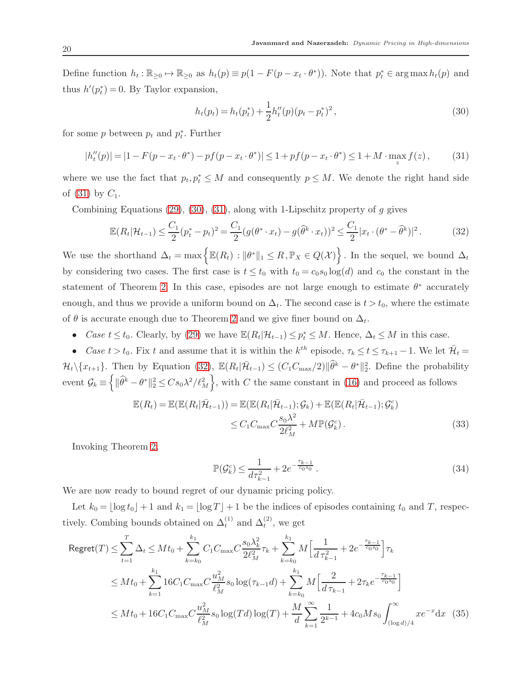Define function  $h_t : \mathbb{R}_{\geq 0} \to \mathbb{R}_{\geq 0}$  as  $h_t(p) \equiv p(1 - F(p - x_t \cdot \theta^*))$ . Note that  $p_t^* \in \arg \max h_t(p)$  and thus  $h'(p_t^*) = 0$ . By Taylor expansion,

<span id="page-19-2"></span><span id="page-19-1"></span><span id="page-19-0"></span>
$$
h_t(p_t) = h_t(p_t^*) + \frac{1}{2}h_t''(p)(p_t - p_t^*)^2,
$$
\n(30)

for some  $p$  between  $p_t$  and  $p_t^*$ . Further

$$
|h''_t(p)| = |1 - F(p - x_t \cdot \theta^*) - pf(p - x_t \cdot \theta^*)| \le 1 + pf(p - x_t \cdot \theta^*) \le 1 + M \cdot \max_{z} f(z), \quad (31)
$$

where we use the fact that  $p_t, p_t^* \leq M$  and consequently  $p \leq M$ . We denote the right hand side of  $(31)$  by  $C_1$ .

Combining Equations  $(29)$ ,  $(30)$ ,  $(31)$ , along with 1-Lipschitz property of g gives

$$
\mathbb{E}(R_t|\mathcal{H}_{t-1}) \le \frac{C_1}{2}(p_t^* - p_t)^2 = \frac{C_1}{2}(g(\theta^* \cdot x_t) - g(\widehat{\theta}^k \cdot x_t))^2 \le \frac{C_1}{2}|x_t \cdot (\theta^* - \widehat{\theta}^k)|^2. \tag{32}
$$

We use the shorthand  $\Delta_t = \max \{ \mathbb{E}(R_t) : ||\theta^*||_1 \leq R, \mathbb{P}_X \in Q(\mathcal{X}) \}$ . In the sequel, we bound  $\Delta_t$ by considering two cases. The first case is  $t \leq t_0$  with  $t_0 = c_0 s_0 \log(d)$  and  $c_0$  the constant in the statement of Theorem [2.](#page-11-0) In this case, episodes are not large enough to estimate  $\theta^*$  accurately enough, and thus we provide a uniform bound on  $\Delta_t$ . The second case is  $t > t_0$ , where the estimate of  $\theta$  is accurate enough due to Theorem [2](#page-11-0) and we give finer bound on  $\Delta_t$ .

• *Case*  $t \le t_0$ . Clearly, by [\(29\)](#page-18-3) we have  $\mathbb{E}(R_t|\mathcal{H}_{t-1}) \le p_t^* \le M$ . Hence,  $\Delta_t \le M$  in this case.

• *Case*  $t > t_0$ . Fix t and assume that it is within the  $k^{th}$  episode,  $\tau_k \le t \le \tau_{k+1} - 1$ . We let  $\bar{\mathcal{H}}_t =$  $\mathcal{H}_t \setminus \{x_{t+1}\}.$  Then by Equation [\(32\)](#page-19-2),  $\mathbb{E}(R_t|\bar{\mathcal{H}}_{t-1}) \leq (C_1 C_{\max}/2) \|\hat{\theta}^k - \theta^*\|_2^2.$  Define the probability event  $\mathcal{G}_k = \left\{ \|\widehat{\theta}^k - \theta^*\|_2^2 \leq Cs_0\lambda^2/\ell_M^2 \right\}$ , with C the same constant in [\(16\)](#page-11-1) and proceed as follows

$$
\mathbb{E}(R_t) = \mathbb{E}(\mathbb{E}(R_t|\bar{\mathcal{H}}_{t-1})) = \mathbb{E}(\mathbb{E}(R_t|\bar{\mathcal{H}}_{t-1});\mathcal{G}_k) + \mathbb{E}(\mathbb{E}(R_t|\bar{\mathcal{H}}_{t-1});\mathcal{G}_k^c)
$$
  
\n
$$
\leq C_1 C_{\text{max}} C \frac{s_0 \lambda^2}{2\ell_M^2} + M \mathbb{P}(\mathcal{G}_k^c).
$$
\n(33)

Invoking Theorem [2,](#page-11-0)

$$
\mathbb{P}(\mathcal{G}_k^c) \le \frac{1}{d\tau_{k-1}^2} + 2e^{-\frac{\tau_{k-1}}{c_0 s_0}}.
$$
\n(34)

We are now ready to bound regret of our dynamic pricing policy.

Let  $k_0 = |\log t_0| + 1$  and  $k_1 = |\log T| + 1$  be the indices of episodes containing  $t_0$  and T, respectively. Combing bounds obtained on  $\Delta_t^{(1)}$  and  $\Delta_t^{(2)}$ , we get

$$
\begin{split}\n\text{Regret}(T) &\leq \sum_{t=1}^{T} \Delta_t \leq Mt_0 + \sum_{k=k_0}^{k_1} C_1 C_{\text{max}} C \frac{s_0 \lambda_k^2}{2\ell_M^2} \tau_k + \sum_{k=k_0}^{k_1} M \Big[ \frac{1}{d \tau_{k-1}^2} + 2e^{-\frac{\tau_{k-1}}{c_0 s_0}} \Big] \tau_k \\
&\leq Mt_0 + \sum_{k=1}^{k_1} 16C_1 C_{\text{max}} C \frac{u_M^2}{\ell_M^2} s_0 \log(\tau_{k-1} d) + \sum_{k=k_0}^{k_1} M \Big[ \frac{2}{d \tau_{k-1}} + 2\tau_k e^{-\frac{\tau_{k-1}}{c_0 s_0}} \Big] \\
&\leq Mt_0 + 16C_1 C_{\text{max}} C \frac{u_M^2}{\ell_M^2} s_0 \log(Td) \log(T) + \frac{M}{d} \sum_{k=1}^{\infty} \frac{1}{2^{k-1}} + 4c_0 M s_0 \int_{(\log d)/4}^{\infty} x e^{-x} \, \mathrm{d}x \tag{35}\n\end{split}
$$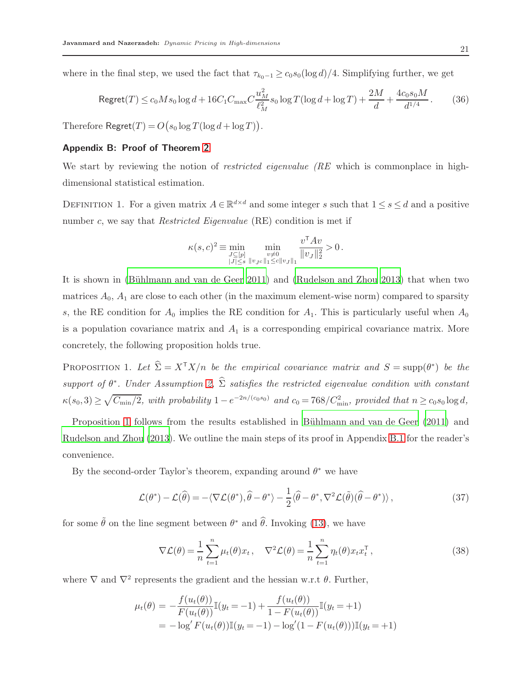where in the final step, we used the fact that  $\tau_{k_0-1} \geq c_0 s_0(\log d)/4$ . Simplifying further, we get

$$
\text{Regret}(T) \le c_0 M s_0 \log d + 16C_1 C_{\text{max}} C \frac{u_M^2}{\ell_M^2} s_0 \log T (\log d + \log T) + \frac{2M}{d} + \frac{4c_0 s_0 M}{d^{1/4}}.
$$
 (36)

<span id="page-20-0"></span>Therefore  $\mathsf{Regret}(T) = O(s_0 \log T(\log d + \log T)).$ 

## Appendix B: Proof of Theorem [2](#page-11-0)

We start by reviewing the notion of *restricted eigenvalue (RE* which is commonplace in highdimensional statistical estimation.

DEFINITION 1. For a given matrix  $A \in \mathbb{R}^{d \times d}$  and some integer s such that  $1 \le s \le d$  and a positive number c, we say that *Restricted Eigenvalue* (RE) condition is met if

$$
\kappa(s,c)^2 \equiv \min_{\substack{J \subseteq [p] \\ |J| \le s}} \min_{\substack{v \neq 0 \\ \|v_J\|_1 \le c \|v_J\|_1}} \frac{v^{\mathsf{T}} A v}{\|v_J\|_2^2} > 0.
$$

It is shown in (Bühlmann and van de Geer 2011) and [\(Rudelson and Zhou 2013\)](#page-34-10) that when two matrices  $A_0$ ,  $A_1$  are close to each other (in the maximum element-wise norm) compared to sparsity s, the RE condition for  $A_0$  implies the RE condition for  $A_1$ . This is particularly useful when  $A_0$ is a population covariance matrix and  $A_1$  is a corresponding empirical covariance matrix. More concretely, the following proposition holds true.

<span id="page-20-1"></span>PROPOSITION 1. Let  $\widehat{\Sigma} = X^{\mathsf{T}}X/n$  *be the empirical covariance matrix and*  $S = \text{supp}(\theta^*)$  *be the*  $support$  of  $\theta^*$ . Under Assumption [2,](#page-6-2)  $\Sigma$  *satisfies the restricted eigenvalue condition with constant*  $\kappa(s_0, 3) \ge \sqrt{C_{\min}/2}$ , with probability  $1 - e^{-2n/(c_0 s_0)}$  and  $c_0 = 768/C_{\min}^2$ , provided that  $n \ge c_0 s_0 \log d$ ,

Proposition [1](#page-20-1) follows from the results established in Bühlmann and van de Geer (2011) and [Rudelson and Zhou \(2013\)](#page-34-10). We outline the main steps of its proof in Appendix [B.1](#page-22-1) for the reader's convenience.

By the second-order Taylor's theorem, expanding around  $\theta^*$  we have

$$
\mathcal{L}(\theta^*) - \mathcal{L}(\hat{\theta}) = -\langle \nabla \mathcal{L}(\theta^*), \hat{\theta} - \theta^* \rangle - \frac{1}{2} \langle \hat{\theta} - \theta^*, \nabla^2 \mathcal{L}(\tilde{\theta}) (\hat{\theta} - \theta^*) \rangle, \qquad (37)
$$

for some  $\tilde{\theta}$  on the line segment between  $\theta^*$  and  $\hat{\theta}$ . Invoking [\(13\)](#page-10-4), we have

<span id="page-20-3"></span><span id="page-20-2"></span>
$$
\nabla \mathcal{L}(\theta) = \frac{1}{n} \sum_{t=1}^{n} \mu_t(\theta) x_t, \quad \nabla^2 \mathcal{L}(\theta) = \frac{1}{n} \sum_{t=1}^{n} \eta_t(\theta) x_t x_t^{\mathsf{T}}, \tag{38}
$$

where  $\nabla$  and  $\nabla^2$  represents the gradient and the hessian w.r.t  $\theta$ . Further,

$$
\mu_t(\theta) = -\frac{f(u_t(\theta))}{F(u_t(\theta))}\mathbb{I}(y_t = -1) + \frac{f(u_t(\theta))}{1 - F(u_t(\theta))}\mathbb{I}(y_t = +1)
$$
  
=  $-\log' F(u_t(\theta))\mathbb{I}(y_t = -1) - \log'(1 - F(u_t(\theta)))\mathbb{I}(y_t = +1)$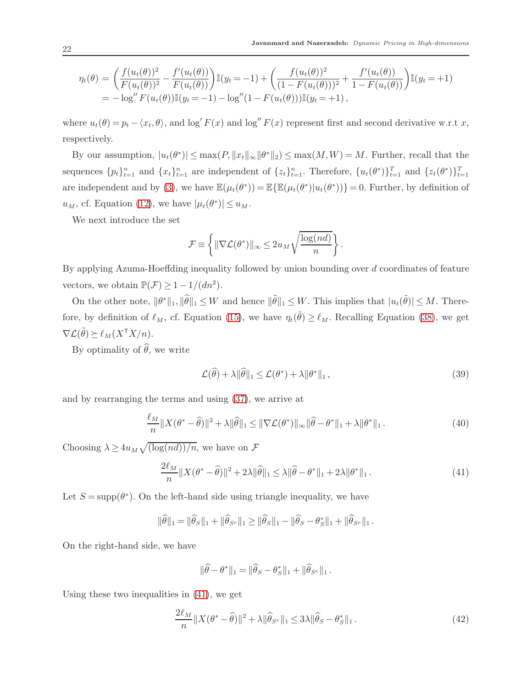$$
\eta_t(\theta) = \left(\frac{f(u_t(\theta))^2}{F(u_t(\theta))^2} - \frac{f'(u_t(\theta))}{F(u_t(\theta))}\right) \mathbb{I}(y_t = -1) + \left(\frac{f(u_t(\theta))^2}{(1 - F(u_t(\theta)))^2} + \frac{f'(u_t(\theta))}{1 - F(u_t(\theta))}\right) \mathbb{I}(y_t = +1)
$$
  
=  $-\log'' F(u_t(\theta)) \mathbb{I}(y_t = -1) - \log''(1 - F(u_t(\theta))) \mathbb{I}(y_t = +1),$ 

where  $u_t(\theta) = p_t - \langle x_t, \theta \rangle$ , and  $\log F(x)$  and  $\log'' F(x)$  represent first and second derivative w.r.t x, respectively.

By our assumption,  $|u_t(\theta^*)| \leq \max(P, ||x_t||_{\infty} ||\theta^*||_2) \leq \max(M, W) = M$ . Further, recall that the sequences  $\{p_t\}_{t=1}^n$  and  $\{x_t\}_{t=1}^n$  are independent of  $\{z_t\}_{t=1}^n$ . Therefore,  $\{u_t(\theta^*)\}_{t=1}^T$  and  $\{z_t(\theta^*)\}_{t=1}^T$ are independent and by [\(3\)](#page-5-1), we have  $\mathbb{E}(\mu_t(\theta^*)) = \mathbb{E}\{\mathbb{E}(\mu_t(\theta^*)) | u_t(\theta^*))\} = 0$ . Further, by definition of  $u_M$ , cf. Equation [\(12\)](#page-9-1), we have  $|\mu_t(\theta^*)| \le u_M$ .

We next introduce the set

$$
\mathcal{F} \equiv \left\{ \|\nabla \mathcal{L}(\theta^*)\|_{\infty} \leq 2u_M \sqrt{\frac{\log(nd)}{n}} \right\}.
$$

By applying Azuma-Hoeffding inequality followed by union bounding over d coordinates of feature vectors, we obtain  $\mathbb{P}(\mathcal{F}) \geq 1 - 1/(dn^2)$ .

On the other note,  $\|\theta^*\|_1, \|\widehat{\theta}\|_1 \leq W$  and hence  $\|\widetilde{\theta}\|_1 \leq W$ . This implies that  $|u_t(\widetilde{\theta})| \leq M$ . Therefore, by definition of  $\ell_M$ , cf. Equation [\(15\)](#page-10-3), we have  $\eta_t(\tilde{\theta}) \geq \ell_M$ . Recalling Equation [\(38\)](#page-20-2), we get  $\nabla \mathcal{L}(\tilde{\theta}) \succeq \ell_M (X^{\mathsf{T}} X/n).$ 

By optimality of  $\widehat{\theta}$ , we write

<span id="page-21-0"></span>
$$
\mathcal{L}(\hat{\theta}) + \lambda \|\hat{\theta}\|_{1} \le \mathcal{L}(\theta^{*}) + \lambda \|\theta^{*}\|_{1},
$$
\n(39)

and by rearranging the terms and using [\(37\)](#page-20-3), we arrive at

$$
\frac{\ell_M}{n} \|X(\theta^* - \widehat{\theta})\|^2 + \lambda \|\widehat{\theta}\|_1 \le \|\nabla \mathcal{L}(\theta^*)\|_{\infty} \|\widehat{\theta} - \theta^*\|_1 + \lambda \|\theta^*\|_1. \tag{40}
$$

Choosing  $\lambda \ge 4u_M \sqrt{\left(\log(nd)\right)/n}$ , we have on  $\mathcal F$ 

$$
\frac{2\ell_M}{n} \|X(\theta^* - \widehat{\theta})\|^2 + 2\lambda \|\widehat{\theta}\|_1 \le \lambda \|\widehat{\theta} - \theta^*\|_1 + 2\lambda \|\theta^*\|_1. \tag{41}
$$

Let  $S = \text{supp}(\theta^*)$ . On the left-hand side using triangle inequality, we have

$$
\|\widehat{\theta}\|_1 = \|\widehat{\theta}_S\|_1 + \|\widehat{\theta}_{S^c}\|_1 \ge \|\widehat{\theta}_S\|_1 - \|\widehat{\theta}_S - \theta_S^*\|_1 + \|\widehat{\theta}_{S^c}\|_1.
$$

On the right-hand side, we have

<span id="page-21-1"></span>
$$
\|\widehat{\theta} - \theta^*\|_1 = \|\widehat{\theta}_S - \theta^*_S\|_1 + \|\widehat{\theta}_{S^c}\|_1.
$$

Using these two inequalities in [\(41\)](#page-21-0), we get

$$
\frac{2\ell_M}{n} \|X(\theta^* - \widehat{\theta})\|^2 + \lambda \|\widehat{\theta}_{S^c}\|_1 \le 3\lambda \|\widehat{\theta}_S - \theta_S^*\|_1. \tag{42}
$$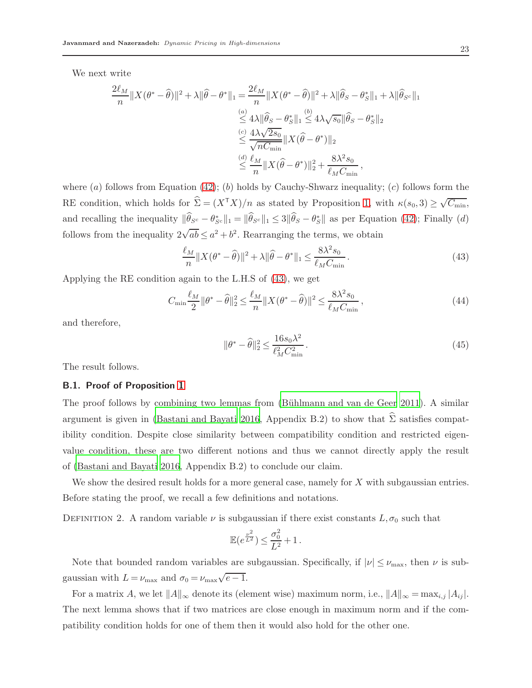We next write

$$
\frac{2\ell_M}{n} \|X(\theta^* - \hat{\theta})\|^2 + \lambda \|\hat{\theta} - \theta^*\|_1 = \frac{2\ell_M}{n} \|X(\theta^* - \hat{\theta})\|^2 + \lambda \|\hat{\theta}_S - \theta^*_S\|_1 + \lambda \|\hat{\theta}_{S^c}\|_1
$$
  

$$
\leq 4\lambda \|\hat{\theta}_S - \theta^*_S\|_1 \leq 4\lambda \sqrt{s_0} \|\hat{\theta}_S - \theta^*_S\|_2
$$
  

$$
\leq \frac{4\lambda\sqrt{2s_0}}{\sqrt{nC_{\min}}} \|X(\hat{\theta} - \theta^*)\|_2
$$
  

$$
\leq \frac{d}{n} \|X(\hat{\theta} - \theta^*)\|_2^2 + \frac{8\lambda^2 s_0}{\ell_M C_{\min}},
$$

where (a) follows from Equation [\(42\)](#page-21-1); (b) holds by Cauchy-Shwarz inequality; (c) follows form the RE condition, which holds for  $\hat{\Sigma} = (X^{\mathsf{T}}X)/n$  as stated by Proposition [1,](#page-20-1) with  $\kappa(s_0, 3) \ge \sqrt{C_{\min}}$ , and recalling the inequality  $\|\theta_{S^c} - \theta_{S^c}^*\|_1 = \|\theta_{S^c}\|_1 \leq 3\|\theta_S - \theta_{S}^*\|$  as per Equation [\(42\)](#page-21-1); Finally (d) follows from the inequality  $2\sqrt{ab} \leq a^2 + b^2$ . Rearranging the terms, we obtain

$$
\frac{\ell_M}{n} \|X(\theta^* - \widehat{\theta})\|^2 + \lambda \|\widehat{\theta} - \theta^*\|_1 \le \frac{8\lambda^2 s_0}{\ell_M C_{\min}}.
$$
\n(43)

Applying the RE condition again to the L.H.S of [\(43\)](#page-22-2), we get

$$
C_{\min} \frac{\ell_M}{2} \|\theta^* - \widehat{\theta}\|_2^2 \le \frac{\ell_M}{n} \|X(\theta^* - \widehat{\theta})\|^2 \le \frac{8\lambda^2 s_0}{\ell_M C_{\min}},\tag{44}
$$

and therefore,

<span id="page-22-2"></span><span id="page-22-0"></span>
$$
\|\theta^* - \hat{\theta}\|_2^2 \le \frac{16s_0\lambda^2}{\ell_M^2 C_{\min}^2} \,. \tag{45}
$$

<span id="page-22-1"></span>The result follows.

#### B.1. Proof of Proposition [1](#page-20-1)

The proof follows by combining two lemmas from (Bühlmann and van de Geer 2011). A similar argument is given in [\(Bastani and Bayati 2016,](#page-32-6) Appendix B.2) to show that  $\hat{\Sigma}$  satisfies compatibility condition. Despite close similarity between compatibility condition and restricted eigenvalue condition, these are two different notions and thus we cannot directly apply the result of [\(Bastani and Bayati 2016,](#page-32-6) Appendix B.2) to conclude our claim.

We show the desired result holds for a more general case, namely for  $X$  with subgaussian entries. Before stating the proof, we recall a few definitions and notations.

DEFINITION 2. A random variable  $\nu$  is subgaussian if there exist constants  $L, \sigma_0$  such that

<span id="page-22-3"></span>
$$
\mathbb{E}(e^{\frac{\nu^2}{L^2}}) \leq \frac{\sigma_0^2}{L^2} + 1.
$$

Note that bounded random variables are subgaussian. Specifically, if  $|\nu| \leq \nu_{\text{max}}$ , then  $\nu$  is subgaussian with  $L = \nu_{\text{max}}$  and  $\sigma_0 = \nu_{\text{max}}\sqrt{e-1}$ .

For a matrix A, we let  $||A||_{\infty}$  denote its (element wise) maximum norm, i.e.,  $||A||_{\infty} = \max_{i,j} |A_{ij}|$ . The next lemma shows that if two matrices are close enough in maximum norm and if the compatibility condition holds for one of them then it would also hold for the other one.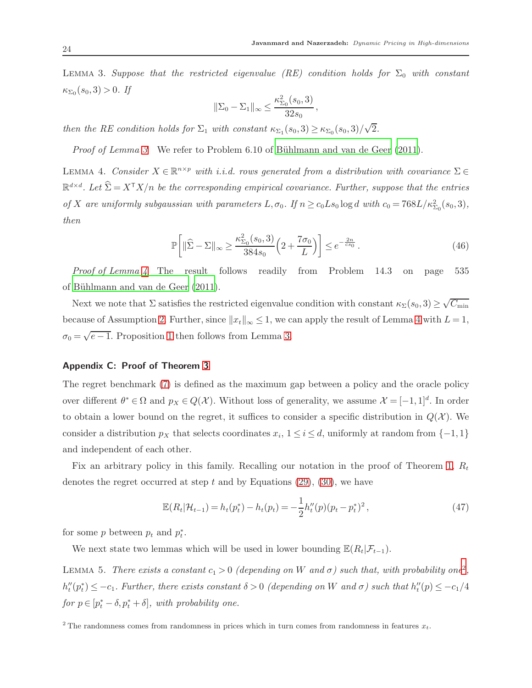LEMMA 3. Suppose that the restricted eigenvalue (RE) condition holds for  $\Sigma_0$  with constant  $\kappa_{\Sigma_0}(s_0,3) > 0$ . If

$$
\|\Sigma_0 - \Sigma_1\|_{\infty} \le \frac{\kappa_{\Sigma_0}^2(s_0, 3)}{32s_0},
$$

*then the RE condition holds for*  $\Sigma_1$  *with constant*  $\kappa_{\Sigma_1}(s_0,3) \geq \kappa_{\Sigma_0}(s_0,3)/\sqrt{2}$ .

<span id="page-23-1"></span>*Proof of Lemma* [3](#page-22-3) We refer to Problem 6.10 of Bühlmann and van de Geer (2011).

LEMMA 4. *Consider*  $X \in \mathbb{R}^{n \times p}$  *with i.i.d. rows generated from a distribution with covariance*  $\Sigma \in$  $\mathbb{R}^{d \times d}$ . Let  $\widehat{\Sigma} = X^{\mathsf{T}} X/n$  be the corresponding empirical covariance. Further, suppose that the entries *of* X are uniformly subgaussian with parameters  $L, \sigma_0$ . If  $n \ge c_0 L s_0 \log d$  with  $c_0 = 768L/\kappa_{\Sigma_0}^2(s_0, 3)$ , *then*

$$
\mathbb{P}\left[\|\widehat{\Sigma} - \Sigma\|_{\infty} \ge \frac{\kappa_{\Sigma_0}^2(s_0, 3)}{384s_0} \left(2 + \frac{7\sigma_0}{L}\right)\right] \le e^{-\frac{2n}{cs_0}}.
$$
\n(46)

*Proof of Lemma [4](#page-23-1)* The result follows readily from Problem 14.3 on page 535 of Bühlmann and van de Geer (2011).

Next we note that  $\Sigma$  satisfies the restricted eigenvalue condition with constant  $\kappa_{\Sigma}(s_0,3) \ge \sqrt{C_{\min}}$ because of Assumption [2.](#page-6-2) Further, since  $||x_t||_{\infty} \leq 1$ , we can apply the result of Lemma [4](#page-23-1) with  $L = 1$ ,  $\sigma_0 = \sqrt{e-1}$ . Proposition [1](#page-20-1) then follows from Lemma [3.](#page-22-3)

#### <span id="page-23-0"></span>Appendix C: Proof of Theorem [3](#page-13-1)

The regret benchmark [\(7\)](#page-7-1) is defined as the maximum gap between a policy and the oracle policy over different  $\theta^* \in \Omega$  and  $p_X \in Q(X)$ . Without loss of generality, we assume  $\mathcal{X} = [-1,1]^d$ . In order to obtain a lower bound on the regret, it suffices to consider a specific distribution in  $Q(\mathcal{X})$ . We consider a distribution  $p_X$  that selects coordinates  $x_i$ ,  $1 \le i \le d$ , uniformly at random from  $\{-1,1\}$ and independent of each other.

Fix an arbitrary policy in this family. Recalling our notation in the proof of Theorem [1,](#page-9-0)  $R_t$ denotes the regret occurred at step t and by Equations  $(29)$ ,  $(30)$ , we have

<span id="page-23-3"></span>
$$
\mathbb{E}(R_t|\mathcal{H}_{t-1}) = h_t(p_t^*) - h_t(p_t) = -\frac{1}{2}h_t''(p)(p_t - p_t^*)^2,
$$
\n(47)

for some p between  $p_t$  and  $p_t^*$ .

We next state two lemmas which will be used in lower bounding  $\mathbb{E}(R_t|\mathcal{F}_{t-1})$ .

LEMMA 5. *There exists a constant*  $c_1 > 0$  (depending on W and  $\sigma$ ) such that, with probability one<sup>[2](#page-23-2)</sup>,  $h''_t(p_t^*) \leq -c_1$ . Further, there exists constant  $\delta > 0$  (depending on W and  $\sigma$ ) such that  $h''_t(p) \leq -c_1/4$  $for p \in [p_t^* - \delta, p_t^* + \delta], with probability one.$ 

<span id="page-23-2"></span><sup>&</sup>lt;sup>2</sup> The randomness comes from randomness in prices which in turn comes from randomness in features  $x_t$ .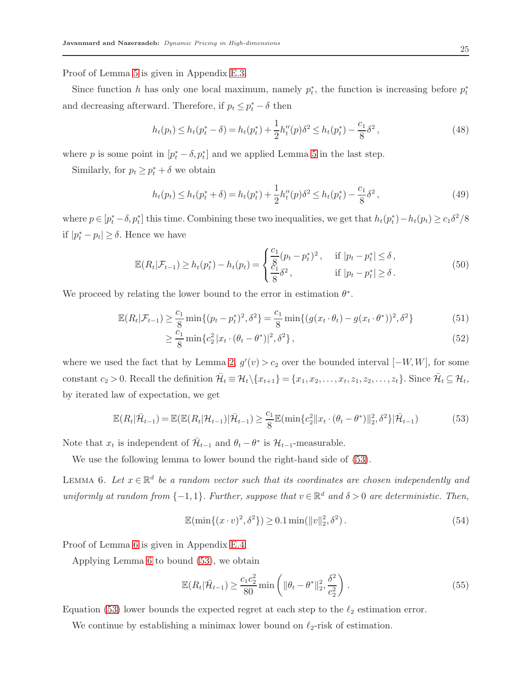Proof of Lemma [5](#page-23-3) is given in Appendix [E.3.](#page-27-3)

Since function h has only one local maximum, namely  $p_t^*$ , the function is increasing before  $p_t^*$ and decreasing afterward. Therefore, if  $p_t \leq p_t^* - \delta$  then

$$
h_t(p_t) \le h_t(p_t^* - \delta) = h_t(p_t^*) + \frac{1}{2}h_t''(p)\delta^2 \le h_t(p_t^*) - \frac{c_1}{8}\delta^2,
$$
\n(48)

where p is some point in  $[p_t^* - \delta, p_t^*]$  and we applied Lemma [5](#page-23-3) in the last step.

Similarly, for  $p_t \geq p_t^* + \delta$  we obtain

$$
h_t(p_t) \le h_t(p_t^* + \delta) = h_t(p_t^*) + \frac{1}{2}h_t''(p)\delta^2 \le h_t(p_t^*) - \frac{c_1}{8}\delta^2,
$$
\n(49)

where  $p \in [p_t^* - \delta, p_t^*]$  this time. Combining these two inequalities, we get that  $h_t(p_t^*) - h_t(p_t) \ge c_1 \delta^2/8$ if  $|p_t^* - p_t| \ge \delta$ . Hence we have

$$
\mathbb{E}(R_t|\mathcal{F}_{t-1}) \ge h_t(p_t^*) - h_t(p_t) = \begin{cases} \frac{c_1}{8}(p_t - p_t^*)^2, & \text{if } |p_t - p_t^*| \le \delta, \\ \frac{c_1}{8}\delta^2, & \text{if } |p_t - p_t^*| \ge \delta. \end{cases}
$$
(50)

We proceed by relating the lower bound to the error in estimation  $\theta^*$ .

$$
\mathbb{E}(R_t|\mathcal{F}_{t-1}) \ge \frac{c_1}{8} \min\{(p_t - p_t^*)^2, \delta^2\} = \frac{c_1}{8} \min\{(g(x_t \cdot \theta_t) - g(x_t \cdot \theta^*))^2, \delta^2\}
$$
(51)

$$
\geq \frac{c_1}{8} \min \{ c_2^2 | x_t \cdot (\theta_t - \theta^*) |^2, \delta^2 \}, \tag{52}
$$

where we used the fact that by Lemma [2,](#page-18-2)  $g'(v) > c_2$  over the bounded interval  $[-W, W]$ , for some constant  $c_2 > 0$ . Recall the definition  $\bar{\mathcal{H}}_t \equiv \mathcal{H}_t \setminus \{x_{t+1}\} = \{x_1, x_2, \ldots, x_t, z_1, z_2, \ldots, z_t\}$ . Since  $\bar{\mathcal{H}}_t \subseteq \mathcal{H}_t$ , by iterated law of expectation, we get

$$
\mathbb{E}(R_t|\bar{\mathcal{H}}_{t-1}) = \mathbb{E}(\mathbb{E}(R_t|\mathcal{H}_{t-1})|\bar{\mathcal{H}}_{t-1}) \ge \frac{c_1}{8}\mathbb{E}(\min\{c_2^2\|x_t \cdot (\theta_t - \theta^*)\|_2^2, \delta^2\}|\bar{\mathcal{H}}_{t-1})
$$
(53)

Note that  $x_t$  is independent of  $\bar{\mathcal{H}}_{t-1}$  and  $\theta_t - \theta^*$  is  $\mathcal{H}_{t-1}$ -measurable.

We use the following lemma to lower bound the right-hand side of [\(53\)](#page-24-0).

LEMMA 6. Let  $x \in \mathbb{R}^d$  be a random vector such that its coordinates are chosen independently and *uniformly at random from*  $\{-1,1\}$ *. Further, suppose that*  $v \in \mathbb{R}^d$  *and*  $\delta > 0$  *are deterministic. Then,* 

<span id="page-24-1"></span><span id="page-24-0"></span>
$$
\mathbb{E}(\min\{(x \cdot v)^2, \delta^2\}) \ge 0.1 \min(\|v\|_2^2, \delta^2). \tag{54}
$$

Proof of Lemma [6](#page-24-1) is given in Appendix [E.4.](#page-28-0)

Applying Lemma [6](#page-24-1) to bound [\(53\)](#page-24-0), we obtain

$$
\mathbb{E}(R_t|\bar{\mathcal{H}}_{t-1}) \ge \frac{c_1 c_2^2}{80} \min\left(\|\theta_t - \theta^*\|_2^2, \frac{\delta^2}{c_2^2}\right). \tag{55}
$$

Equation [\(53\)](#page-24-0) lower bounds the expected regret at each step to the  $\ell_2$  estimation error.

<span id="page-24-2"></span>We continue by establishing a minimax lower bound on  $\ell_2$ -risk of estimation.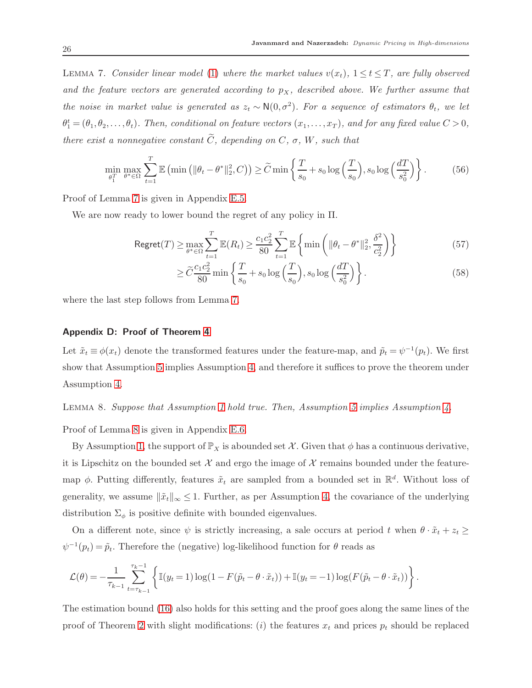LEMMA 7. *Consider linear model* [\(1\)](#page-5-0) where the market values  $v(x_t)$ ,  $1 \le t \le T$ , are fully observed and the feature vectors are generated according to  $p<sub>X</sub>$ , described above. We further assume that *the noise in market value is generated as*  $z_t \sim N(0, \sigma^2)$ *. For a sequence of estimators*  $\theta_t$ *, we let*  $\theta_1^t = (\theta_1, \theta_2, \ldots, \theta_t)$ . Then, conditional on feature vectors  $(x_1, \ldots, x_T)$ , and for any fixed value  $C > 0$ , *there exist a nonnegative constant*  $\widetilde{C}$ *, depending on*  $C$ *,*  $\sigma$ *, W<sub>r</sub>, such that* 

$$
\min_{\theta_1^T} \max_{\theta^* \in \Omega} \sum_{t=1}^T \mathbb{E} \left( \min \left( \|\theta_t - \theta^*\|_2^2, C \right) \right) \ge \widetilde{C} \min \left\{ \frac{T}{s_0} + s_0 \log \left( \frac{T}{s_0} \right), s_0 \log \left( \frac{dT}{s_0^2} \right) \right\}. \tag{56}
$$

Proof of Lemma [7](#page-24-2) is given in Appendix [E.5.](#page-29-0)

We are now ready to lower bound the regret of any policy in Π.

$$
\text{Regret}(T) \ge \max_{\theta^* \in \Omega} \sum_{t=1}^T \mathbb{E}(R_t) \ge \frac{c_1 c_2^2}{80} \sum_{t=1}^T \mathbb{E}\left\{\min\left(\|\theta_t - \theta^*\|_2^2, \frac{\delta^2}{c_2^2}\right)\right\} \tag{57}
$$

$$
\geq \widetilde{C} \frac{c_1 c_2^2}{80} \min \left\{ \frac{T}{s_0} + s_0 \log \left( \frac{T}{s_0} \right), s_0 \log \left( \frac{dT}{s_0^2} \right) \right\}.
$$
\n
$$
(58)
$$

<span id="page-25-0"></span>where the last step follows from Lemma [7.](#page-24-2)

#### Appendix D: Proof of Theorem [4](#page-16-0)

<span id="page-25-1"></span>Let  $\tilde{x}_t \equiv \phi(x_t)$  denote the transformed features under the feature-map, and  $\tilde{p}_t = \psi^{-1}(p_t)$ . We first show that Assumption [5](#page-15-3) implies Assumption [4,](#page-15-1) and therefore it suffices to prove the theorem under Assumption [4.](#page-15-1)

Lemma 8. *Suppose that Assumption [1](#page-6-0) hold true. Then, Assumption [5](#page-15-3) implies Assumption [4.](#page-15-1)*

Proof of Lemma [8](#page-25-1) is given in Appendix [E.6.](#page-30-0)

By Assumption [1,](#page-6-0) the support of  $\mathbb{P}_X$  is abounded set X. Given that  $\phi$  has a continuous derivative, it is Lipschitz on the bounded set  $\mathcal X$  and ergo the image of  $\mathcal X$  remains bounded under the featuremap  $\phi$ . Putting differently, features  $\tilde{x}_t$  are sampled from a bounded set in  $\mathbb{R}^d$ . Without loss of generality, we assume  $\|\tilde{x}_t\|_{\infty} \leq 1$ . Further, as per Assumption [4,](#page-15-1) the covariance of the underlying distribution  $\Sigma_{\phi}$  is positive definite with bounded eigenvalues.

On a different note, since  $\psi$  is strictly increasing, a sale occurs at period t when  $\theta \cdot \tilde{x}_t + z_t \geq$  $\psi^{-1}(p_t) = \tilde{p}_t$ . Therefore the (negative) log-likelihood function for  $\theta$  reads as

$$
\mathcal{L}(\theta) = -\frac{1}{\tau_{k-1}} \sum_{t=\tau_{k-1}}^{\tau_k-1} \left\{ \mathbb{I}(y_t=1) \log(1 - F(\tilde{p}_t - \theta \cdot \tilde{x}_t)) + \mathbb{I}(y_t=-1) \log(F(\tilde{p}_t - \theta \cdot \tilde{x}_t)) \right\}.
$$

The estimation bound [\(16\)](#page-11-1) also holds for this setting and the proof goes along the same lines of the proof of Theorem [2](#page-11-0) with slight modifications: (i) the features  $x_t$  and prices  $p_t$  should be replaced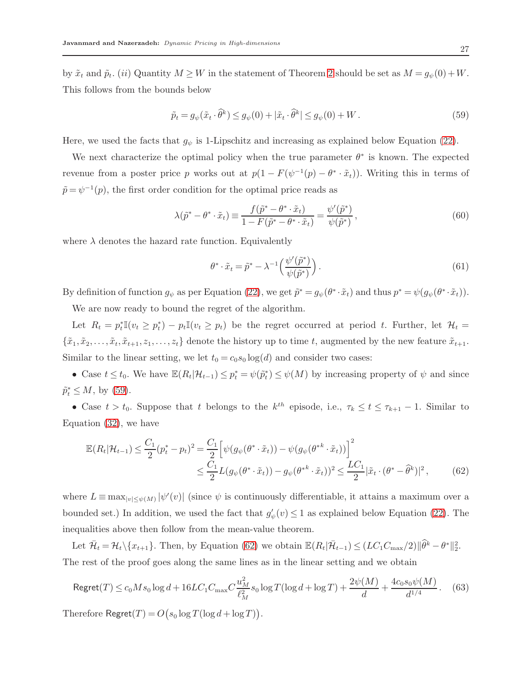by  $\tilde{x}_t$  and  $\tilde{p}_t$ . (*ii*) Quantity  $M \geq W$  in the statement of Theorem [2](#page-11-0) should be set as  $M = g_{\psi}(0) + W$ . This follows from the bounds below

<span id="page-26-0"></span>
$$
\tilde{p}_t = g_{\psi}(\tilde{x}_t \cdot \hat{\theta}^k) \le g_{\psi}(0) + |\tilde{x}_t \cdot \hat{\theta}^k| \le g_{\psi}(0) + W.
$$
\n<sup>(59)</sup>

Here, we used the facts that  $g_{\psi}$  is 1-Lipschitz and increasing as explained below Equation [\(22\)](#page-15-2).

We next characterize the optimal policy when the true parameter  $\theta^*$  is known. The expected revenue from a poster price p works out at  $p(1 - F(\psi^{-1}(p) - \theta^* \cdot \tilde{x}_t))$ . Writing this in terms of  $\tilde{p} = \psi^{-1}(p)$ , the first order condition for the optimal price reads as

$$
\lambda(\tilde{p}^* - \theta^* \cdot \tilde{x}_t) \equiv \frac{f(\tilde{p}^* - \theta^* \cdot \tilde{x}_t)}{1 - F(\tilde{p}^* - \theta^* \cdot \tilde{x}_t)} = \frac{\psi'(\tilde{p}^*)}{\psi(\tilde{p}^*)},\tag{60}
$$

where  $\lambda$  denotes the hazard rate function. Equivalently

<span id="page-26-1"></span>
$$
\theta^* \cdot \tilde{x}_t = \tilde{p}^* - \lambda^{-1} \left( \frac{\psi'(\tilde{p}^*)}{\psi(\tilde{p}^*)} \right). \tag{61}
$$

By definition of function  $g_{\psi}$  as per Equation [\(22\)](#page-15-2), we get  $\tilde{p}^* = g_{\psi}(\theta^* \cdot \tilde{x}_t)$  and thus  $p^* = \psi(g_{\psi}(\theta^* \cdot \tilde{x}_t))$ .

We are now ready to bound the regret of the algorithm.

Let  $R_t = p_t^* \mathbb{I}(v_t \ge p_t^*) - p_t \mathbb{I}(v_t \ge p_t)$  be the regret occurred at period t. Further, let  $\mathcal{H}_t =$  $\{\tilde{x}_1, \tilde{x}_2, \ldots, \tilde{x}_t, \tilde{x}_{t+1}, z_1, \ldots, z_t\}$  denote the history up to time t, augmented by the new feature  $\tilde{x}_{t+1}$ . Similar to the linear setting, we let  $t_0 = c_0 s_0 \log(d)$  and consider two cases:

• Case  $t \leq t_0$ . We have  $\mathbb{E}(R_t|\mathcal{H}_{t-1}) \leq p_t^* = \psi(\tilde{p}_t^*) \leq \psi(M)$  by increasing property of  $\psi$  and since  $\tilde{p}_t^* \leq M$ , by [\(59\)](#page-26-0).

• Case  $t > t_0$ . Suppose that t belongs to the  $k^{th}$  episode, i.e.,  $\tau_k \leq t \leq \tau_{k+1} - 1$ . Similar to Equation [\(32\)](#page-19-2), we have

$$
\mathbb{E}(R_t|\mathcal{H}_{t-1}) \le \frac{C_1}{2}(p_t^* - p_t)^2 = \frac{C_1}{2} \Big[ \psi(g_\psi(\theta^* \cdot \tilde{x}_t)) - \psi(g_\psi(\theta^{*k} \cdot \tilde{x}_t)) \Big]^2
$$
  

$$
\le \frac{C_1}{2} L(g_\psi(\theta^* \cdot \tilde{x}_t)) - g_\psi(\theta^{*k} \cdot \tilde{x}_t))^2 \le \frac{LC_1}{2} |\tilde{x}_t \cdot (\theta^* - \tilde{\theta}^k)|^2, \tag{62}
$$

where  $L \equiv \max_{|v| \le \psi(M)} |\psi'(v)|$  (since  $\psi$  is continuously differentiable, it attains a maximum over a bounded set.) In addition, we used the fact that  $g'_{\psi}(v) \leq 1$  as explained below Equation [\(22\)](#page-15-2). The inequalities above then follow from the mean-value theorem.

Let  $\bar{\mathcal{H}}_t = \mathcal{H}_t \setminus \{x_{t+1}\}.$  Then, by Equation [\(62\)](#page-26-1) we obtain  $\mathbb{E}(R_t|\bar{\mathcal{H}}_{t-1}) \leq (LC_1C_{\max}/2)\|\hat{\theta}^k - \theta^*\|_2^2$ . The rest of the proof goes along the same lines as in the linear setting and we obtain

$$
\text{Regret}(T) \le c_0 M s_0 \log d + 16 LC_1 C_{\text{max}} C \frac{u_M^2}{\ell_M^2} s_0 \log T (\log d + \log T) + \frac{2\psi(M)}{d} + \frac{4c_0 s_0 \psi(M)}{d^{1/4}}. \tag{63}
$$

Therefore  $\mathsf{Regret}(T) = O(s_0 \log T(\log d + \log T)).$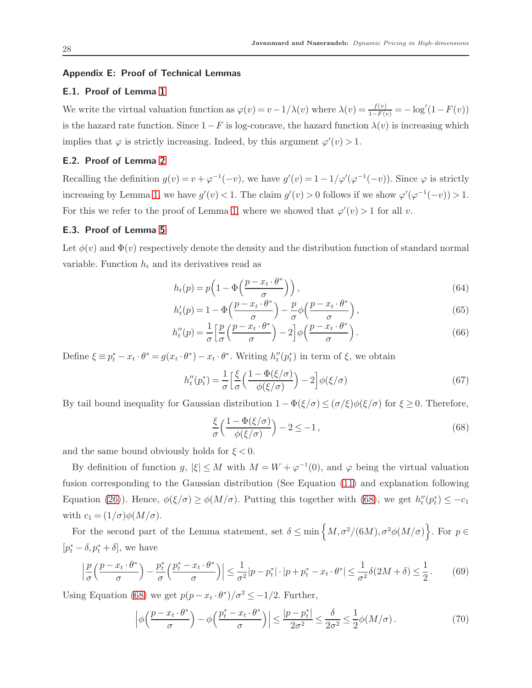#### <span id="page-27-1"></span><span id="page-27-0"></span>Appendix E: Proof of Technical Lemmas

## E.1. Proof of Lemma [1](#page-18-1)

We write the virtual valuation function as  $\varphi(v) = v - 1/\lambda(v)$  where  $\lambda(v) = \frac{f(v)}{1 - F(v)} = -\log'(1 - F(v))$ is the hazard rate function. Since  $1-F$  is log-concave, the hazard function  $\lambda(v)$  is increasing which implies that  $\varphi$  is strictly increasing. Indeed, by this argument  $\varphi'(v) > 1$ .

# <span id="page-27-2"></span>E.2. Proof of Lemma [2](#page-18-2)

Recalling the definition  $g(v) = v + \varphi^{-1}(-v)$ , we have  $g'(v) = 1 - 1/\varphi'(\varphi^{-1}(-v))$ . Since  $\varphi$  is strictly increasing by Lemma [1,](#page-18-1) we have  $g'(v) < 1$ . The claim  $g'(v) > 0$  follows if we show  $\varphi'(\varphi^{-1}(-v)) > 1$ . For this we refer to the proof of Lemma [1,](#page-18-1) where we showed that  $\varphi'(v) > 1$  for all v.

## <span id="page-27-3"></span>E.3. Proof of Lemma [5](#page-23-3)

Let  $\phi(v)$  and  $\Phi(v)$  respectively denote the density and the distribution function of standard normal variable. Function  $h_t$  and its derivatives read as

$$
h_t(p) = p\left(1 - \Phi\left(\frac{p - x_t \cdot \theta^*}{\sigma}\right)\right),\tag{64}
$$

$$
h_t'(p) = 1 - \Phi\left(\frac{p - x_t \cdot \theta^*}{\sigma}\right) - \frac{p}{\sigma}\phi\left(\frac{p - x_t \cdot \theta^*}{\sigma}\right),\tag{65}
$$

$$
h_t''(p) = \frac{1}{\sigma} \left[ \frac{p}{\sigma} \left( \frac{p - x_t \cdot \theta^*}{\sigma} \right) - 2 \right] \phi \left( \frac{p - x_t \cdot \theta^*}{\sigma} \right). \tag{66}
$$

Define  $\xi \equiv p_t^* - x_t \cdot \theta^* = g(x_t \cdot \theta^*) - x_t \cdot \theta^*$ . Writing  $h_t''(p_t^*)$  in term of  $\xi$ , we obtain

$$
h_t''(p_t^*) = \frac{1}{\sigma} \left[ \frac{\xi}{\sigma} \left( \frac{1 - \Phi(\xi/\sigma)}{\phi(\xi/\sigma)} \right) - 2 \right] \phi(\xi/\sigma) \tag{67}
$$

By tail bound inequality for Gaussian distribution  $1 - \Phi(\xi/\sigma) \leq (\sigma/\xi)\phi(\xi/\sigma)$  for  $\xi \geq 0$ . Therefore,

<span id="page-27-5"></span><span id="page-27-4"></span>
$$
\frac{\xi}{\sigma} \left( \frac{1 - \Phi(\xi/\sigma)}{\phi(\xi/\sigma)} \right) - 2 \le -1,
$$
\n(68)

and the same bound obviously holds for  $\xi < 0$ .

By definition of function g,  $|\xi| \leq M$  with  $M = W + \varphi^{-1}(0)$ , and  $\varphi$  being the virtual valuation fusion corresponding to the Gaussian distribution (See Equation [\(11\)](#page-9-1) and explanation following Equation [\(26\)](#page-18-4)). Hence,  $\phi(\xi/\sigma) \ge \phi(M/\sigma)$ . Putting this together with [\(68\)](#page-27-4), we get  $h''_t(p_t^*) \le -c_1$ with  $c_1 = (1/\sigma)\phi(M/\sigma)$ .

For the second part of the Lemma statement, set  $\delta \leq \min\left\{M, \sigma^2/(6M), \sigma^2\phi(M/\sigma)\right\}$ . For  $p \in$  $[p_t^* - \delta, p_t^* + \delta]$ , we have

$$
\left|\frac{p}{\sigma}\left(\frac{p-x_t \cdot \theta^*}{\sigma}\right) - \frac{p_t^*}{\sigma}\left(\frac{p_t^*-x_t \cdot \theta^*}{\sigma}\right)\right| \le \frac{1}{\sigma^2}|p - p_t^*| \cdot |p + p_t^* - x_t \cdot \theta^*| \le \frac{1}{\sigma^2}\delta(2M+\delta) \le \frac{1}{2}.
$$
 (69)

Using Equation [\(68\)](#page-27-4) we get  $p(p-x_t \cdot \theta^*)/\sigma^2 \leq -1/2$ . Further,

$$
\left| \phi \left( \frac{p - x_t \cdot \theta^*}{\sigma} \right) - \phi \left( \frac{p_t^* - x_t \cdot \theta^*}{\sigma} \right) \right| \le \frac{|p - p_t^*|}{2\sigma^2} \le \frac{\delta}{2\sigma^2} \le \frac{1}{2} \phi(M/\sigma). \tag{70}
$$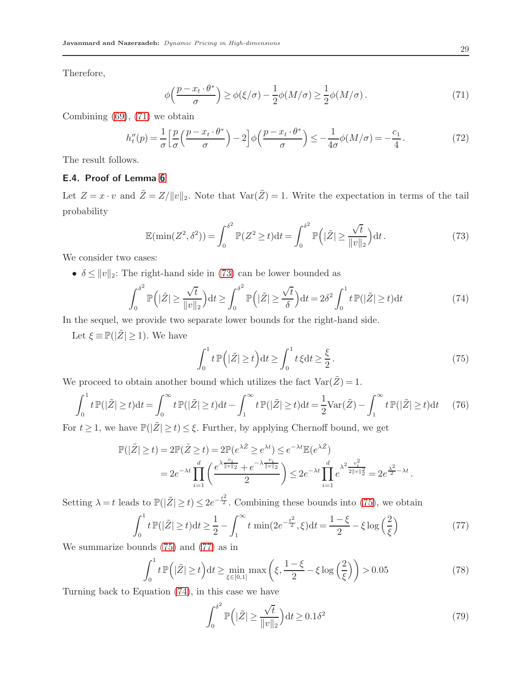Therefore,

<span id="page-28-1"></span>
$$
\phi\left(\frac{p-x_t \cdot \theta^*}{\sigma}\right) \ge \phi(\xi/\sigma) - \frac{1}{2}\phi(M/\sigma) \ge \frac{1}{2}\phi(M/\sigma). \tag{71}
$$

Combining [\(69\)](#page-27-5), [\(71\)](#page-28-1) we obtain

$$
h_t''(p) = \frac{1}{\sigma} \left[ \frac{p}{\sigma} \left( \frac{p - x_t \cdot \theta^*}{\sigma} \right) - 2 \right] \phi \left( \frac{p - x_t \cdot \theta^*}{\sigma} \right) \le -\frac{1}{4\sigma} \phi(M/\sigma) = -\frac{c_1}{4} \,. \tag{72}
$$

<span id="page-28-0"></span>The result follows.

# E.4. Proof of Lemma [6](#page-24-1)

Let  $Z = x \cdot v$  and  $\tilde{Z} = Z/||v||_2$ . Note that  $Var(\tilde{Z}) = 1$ . Write the expectation in terms of the tail probability

$$
\mathbb{E}(\min(Z^2,\delta^2)) = \int_0^{\delta^2} \mathbb{P}(Z^2 \ge t) dt = \int_0^{\delta^2} \mathbb{P}\left(|\tilde{Z}| \ge \frac{\sqrt{t}}{\|v\|_2}\right) dt. \tag{73}
$$

We consider two cases:

•  $\delta \le ||v||_2$ : The right-hand side in [\(73\)](#page-28-2) can be lower bounded as

$$
\int_0^{\delta^2} \mathbb{P}\left(|\tilde{Z}| \ge \frac{\sqrt{t}}{\|v\|_2}\right) dt \ge \int_0^{\delta^2} \mathbb{P}\left(|\tilde{Z}| \ge \frac{\sqrt{t}}{\delta}\right) dt = 2\delta^2 \int_0^1 t \, \mathbb{P}(|\tilde{Z}| \ge t) dt \tag{74}
$$

In the sequel, we provide two separate lower bounds for the right-hand side.

Let  $\xi \equiv \mathbb{P}(|\tilde{Z}| \geq 1)$ . We have

$$
\int_0^1 t \, \mathbb{P}\left(|\tilde{Z}| \ge t\right) dt \ge \int_0^1 t \, \xi dt \ge \frac{\xi}{2} \,. \tag{75}
$$

<span id="page-28-5"></span><span id="page-28-4"></span><span id="page-28-3"></span><span id="page-28-2"></span>.

We proceed to obtain another bound which utilizes the fact  $\text{Var}(\tilde{Z}) = 1$ .

$$
\int_0^1 t \mathbb{P}(|\tilde{Z}| \ge t) dt = \int_0^\infty t \mathbb{P}(|\tilde{Z}| \ge t) dt - \int_1^\infty t \mathbb{P}(|\tilde{Z}| \ge t) dt = \frac{1}{2} \text{Var}(\tilde{Z}) - \int_1^\infty t \mathbb{P}(|\tilde{Z}| \ge t) dt \tag{76}
$$

For  $t \geq 1$ , we have  $\mathbb{P}(|Z| \geq t) \leq \xi$ . Further, by applying Chernoff bound, we get

$$
\mathbb{P}(|\tilde{Z}| \ge t) = 2\mathbb{P}(\tilde{Z} \ge t) = 2\mathbb{P}(e^{\lambda \tilde{Z}} \ge e^{\lambda t}) \le e^{-\lambda t} \mathbb{E}(e^{\lambda \tilde{Z}})
$$
  
=  $2e^{-\lambda t} \prod_{i=1}^{d} \left( \frac{e^{\lambda \frac{v_i}{\|v\|_2}} + e^{-\lambda \frac{v_i}{\|v\|_2}}}{2} \right) \le 2e^{-\lambda t} \prod_{i=1}^{d} e^{\lambda^2 \frac{v_i^2}{2\|v\|_2^2}} = 2e^{\frac{\lambda^2}{2} - \lambda t}$ 

Setting  $\lambda = t$  leads to  $\mathbb{P}(|\tilde{Z}| \ge t) \le 2e^{-\frac{t^2}{2}}$ . Combining these bounds into [\(75\)](#page-28-3), we obtain

$$
\int_0^1 t \, \mathbb{P}(|\tilde{Z}| \ge t) \, \mathrm{d}t \ge \frac{1}{2} - \int_1^\infty t \, \min(2e^{-\frac{t^2}{2}}, \xi) \, \mathrm{d}t = \frac{1-\xi}{2} - \xi \log\left(\frac{2}{\xi}\right) \tag{77}
$$

We summarize bounds [\(75\)](#page-28-3) and [\(77\)](#page-28-4) as in

$$
\int_0^1 t \, \mathbb{P}\left(|\tilde{Z}| \ge t\right) dt \ge \min_{\xi \in [0,1]} \max\left(\xi, \frac{1-\xi}{2} - \xi \log\left(\frac{2}{\xi}\right)\right) > 0.05\tag{78}
$$

Turning back to Equation [\(74\)](#page-28-5), in this case we have

$$
\int_0^{\delta^2} \mathbb{P}\left(|\tilde{Z}| \ge \frac{\sqrt{t}}{\|v\|_2}\right) dt \ge 0.1\delta^2 \tag{79}
$$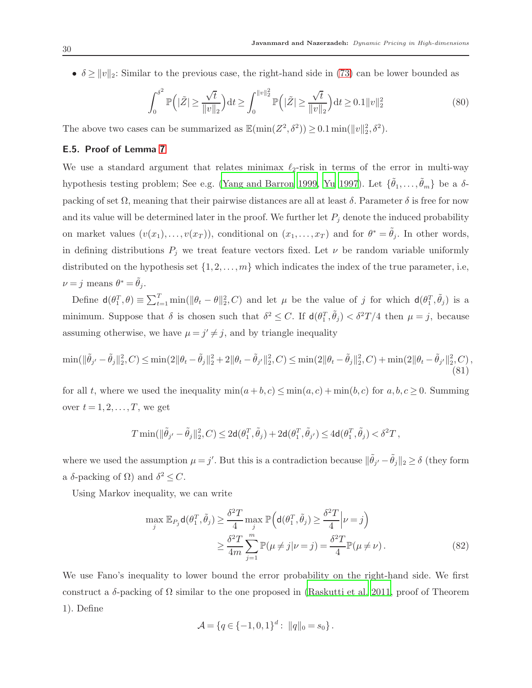•  $\delta \ge ||v||_2$ : Similar to the previous case, the right-hand side in [\(73\)](#page-28-2) can be lower bounded as

$$
\int_0^{\delta^2} \mathbb{P}\left(|\tilde{Z}| \ge \frac{\sqrt{t}}{\|v\|_2}\right) dt \ge \int_0^{\|v\|_2^2} \mathbb{P}\left(|\tilde{Z}| \ge \frac{\sqrt{t}}{\|v\|_2}\right) dt \ge 0.1 \|v\|_2^2 \tag{80}
$$

<span id="page-29-0"></span>The above two cases can be summarized as  $\mathbb{E}(\min(Z^2, \delta^2)) \ge 0.1 \min(\|v\|_2^2, \delta^2)$ .

### E.5. Proof of Lemma [7](#page-24-2)

We use a standard argument that relates minimax  $\ell_2$ -risk in terms of the error in multi-way hypothesis testing problem; See e.g. [\(Yang and Barron 1999](#page-34-11), [Yu 1997\)](#page-34-9). Let  $\{\tilde{\theta}_1,\ldots,\tilde{\theta}_m\}$  be a  $\delta$ packing of set  $\Omega$ , meaning that their pairwise distances are all at least  $\delta$ . Parameter  $\delta$  is free for now and its value will be determined later in the proof. We further let  $P_i$  denote the induced probability on market values  $(v(x_1),...,v(x_T))$ , conditional on  $(x_1,...,x_T)$  and for  $\theta^* = \tilde{\theta}_j$ . In other words, in defining distributions  $P_j$  we treat feature vectors fixed. Let  $\nu$  be random variable uniformly distributed on the hypothesis set  $\{1, 2, \ldots, m\}$  which indicates the index of the true parameter, i.e,  $\nu = j$  means  $\theta^* = \tilde{\theta}_j$ .

Define  $d(\theta_1^T, \theta) \equiv \sum_{t=1}^T \min(||\theta_t - \theta||_2^2, C)$  and let  $\mu$  be the value of j for which  $d(\theta_1^T, \tilde{\theta}_j)$  is a minimum. Suppose that  $\delta$  is chosen such that  $\delta^2 \leq C$ . If  $d(\theta_1^T, \tilde{\theta}_j) < \delta^2 T/4$  then  $\mu = j$ , because assuming otherwise, we have  $\mu = j' \neq j$ , and by triangle inequality

$$
\min(\|\tilde{\theta}_{j'} - \tilde{\theta}_j\|_2^2, C) \le \min(2\|\theta_t - \tilde{\theta}_j\|_2^2 + 2\|\theta_t - \tilde{\theta}_{j'}\|_2^2, C) \le \min(2\|\theta_t - \tilde{\theta}_j\|_2^2, C) + \min(2\|\theta_t - \tilde{\theta}_{j'}\|_2^2, C),
$$
\n(81)

for all t, where we used the inequality  $\min(a + b, c) \leq \min(a, c) + \min(b, c)$  for  $a, b, c \geq 0$ . Summing over  $t = 1, 2, \ldots, T$ , we get

$$
T \min(\|\tilde{\theta}_{j'} - \tilde{\theta}_j\|_2^2, C) \leq 2\mathsf{d}(\theta_1^T, \tilde{\theta}_j) + 2\mathsf{d}(\theta_1^T, \tilde{\theta}_{j'}) \leq 4\mathsf{d}(\theta_1^T, \tilde{\theta}_j) < \delta^2 T,
$$

where we used the assumption  $\mu = j'$ . But this is a contradiction because  $\|\tilde{\theta}_{j'} - \tilde{\theta}_j\|_2 \ge \delta$  (they form a  $\delta$ -packing of  $\Omega$ ) and  $\delta^2 \leq C$ .

Using Markov inequality, we can write

$$
\max_{j} \mathbb{E}_{P_j} \mathsf{d}(\theta_1^T, \tilde{\theta}_j) \ge \frac{\delta^2 T}{4} \max_{j} \mathbb{P} \Big( \mathsf{d}(\theta_1^T, \tilde{\theta}_j) \ge \frac{\delta^2 T}{4} \Big| \nu = j \Big) \ge \frac{\delta^2 T}{4m} \sum_{j=1}^m \mathbb{P}(\mu \ne j | \nu = j) = \frac{\delta^2 T}{4} \mathbb{P}(\mu \ne \nu).
$$
\n(82)

We use Fano's inequality to lower bound the error probability on the right-hand side. We first construct a  $\delta$ -packing of  $\Omega$  similar to the one proposed in [\(Raskutti et al. 2011,](#page-34-12) proof of Theorem 1). Define

<span id="page-29-1"></span>
$$
\mathcal{A} = \{q \in \{-1, 0, 1\}^d : ||q||_0 = s_0\}.
$$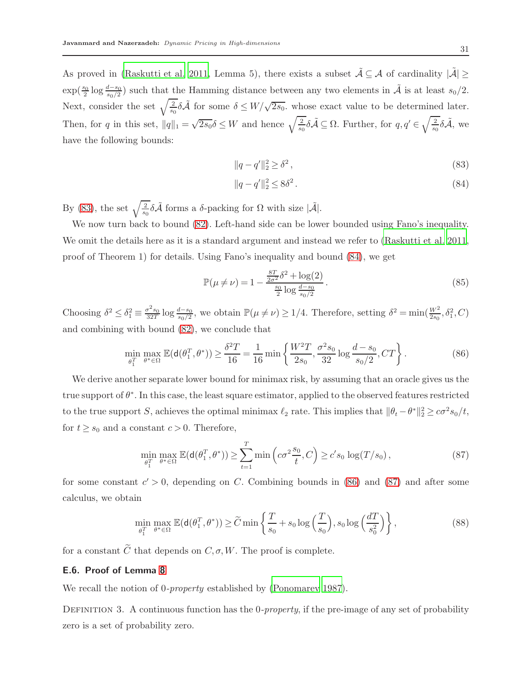As proved in [\(Raskutti et al. 2011,](#page-34-12) Lemma 5), there exists a subset  $\tilde{\mathcal{A}} \subseteq \mathcal{A}$  of cardinality  $|\tilde{\mathcal{A}}| \geq$  $\exp(\frac{s_0}{2}\log\frac{d-s_0}{s_0/2})$  such that the Hamming distance between any two elements in  $\tilde{\mathcal{A}}$  is at least  $s_0/2$ . Next, consider the set  $\sqrt{\frac{2}{s_0}}\delta\tilde{\mathcal{A}}$  for some  $\delta \leq W/\sqrt{2s_0}$ . whose exact value to be determined later. Then, for q in this set,  $||q||_1 = \sqrt{2s_0} \delta \leq W$  and hence  $\sqrt{\frac{2}{s_0}} \delta \tilde{\mathcal{A}} \subseteq \Omega$ . Further, for  $q, q' \in \sqrt{\frac{2}{s_0}}$  $\frac{2}{s_0}\delta \tilde{\mathcal{A}}, \text{ we}$ have the following bounds:

<span id="page-30-1"></span>
$$
||q - q'||_2^2 \ge \delta^2 \,, \tag{83}
$$

<span id="page-30-2"></span>
$$
||q - q'||_2^2 \le 8\delta^2. \tag{84}
$$

By [\(83\)](#page-30-1), the set  $\sqrt{\frac{2}{s_0}}\delta\tilde{\mathcal{A}}$  forms a δ-packing for Ω with size  $|\tilde{\mathcal{A}}|$ .

We now turn back to bound [\(82\)](#page-29-1). Left-hand side can be lower bounded using Fano's inequality. We omit the details here as it is a standard argument and instead we refer to [\(Raskutti et al. 2011,](#page-34-12) proof of Theorem 1) for details. Using Fano's inequality and bound [\(84\)](#page-30-2), we get

<span id="page-30-4"></span><span id="page-30-3"></span>
$$
\mathbb{P}(\mu \neq \nu) = 1 - \frac{\frac{8T}{2\sigma^2} \delta^2 + \log(2)}{\frac{s_0}{2} \log \frac{d - s_0}{s_0/2}}.
$$
\n(85)

Choosing  $\delta^2 \leq \delta_1^2 \equiv \frac{\sigma^2 s_0}{32T} \log \frac{d-s_0}{s_0/2}$ , we obtain  $\mathbb{P}(\mu \neq \nu) \geq 1/4$ . Therefore, setting  $\delta^2 = \min(\frac{W^2}{2s_0}, \delta_1^2, C)$ and combining with bound [\(82\)](#page-29-1), we conclude that

$$
\min_{\theta_1^T} \max_{\theta^* \in \Omega} \mathbb{E}(\mathsf{d}(\theta_1^T, \theta^*)) \ge \frac{\delta^2 T}{16} = \frac{1}{16} \min\left\{ \frac{W^2 T}{2s_0}, \frac{\sigma^2 s_0}{32} \log \frac{d - s_0}{s_0/2}, CT \right\}.
$$
\n(86)

We derive another separate lower bound for minimax risk, by assuming that an oracle gives us the true support of  $\theta^*$ . In this case, the least square estimator, applied to the observed features restricted to the true support S, achieves the optimal minimax  $\ell_2$  rate. This implies that  $\|\theta_t - \theta^*\|_2^2 \geq c\sigma^2 s_0/t$ , for  $t \geq s_0$  and a constant  $c > 0$ . Therefore,

$$
\min_{\theta_1^T} \max_{\theta^* \in \Omega} \mathbb{E}(\mathsf{d}(\theta_1^T, \theta^*)) \ge \sum_{t=1}^T \min\left(c\sigma^2 \frac{s_0}{t}, C\right) \ge c's_0 \log(T/s_0),\tag{87}
$$

for some constant  $c' > 0$ , depending on C. Combining bounds in [\(86\)](#page-30-3) and [\(87\)](#page-30-4) and after some calculus, we obtain

$$
\min_{\theta_1^T} \max_{\theta^* \in \Omega} \mathbb{E}(\mathsf{d}(\theta_1^T, \theta^*)) \ge \widetilde{C} \min\left\{ \frac{T}{s_0} + s_0 \log\left(\frac{T}{s_0}\right), s_0 \log\left(\frac{dT}{s_0^2}\right) \right\},\tag{88}
$$

<span id="page-30-0"></span>for a constant  $\widetilde{C}$  that depends on  $C, \sigma, W$ . The proof is complete.

## E.6. Proof of Lemma [8](#page-25-1)

We recall the notion of 0*-property* established by [\(Ponomarev 1987\)](#page-34-13).

Definition 3. A continuous function has the 0*-property*, if the pre-image of any set of probability zero is a set of probability zero.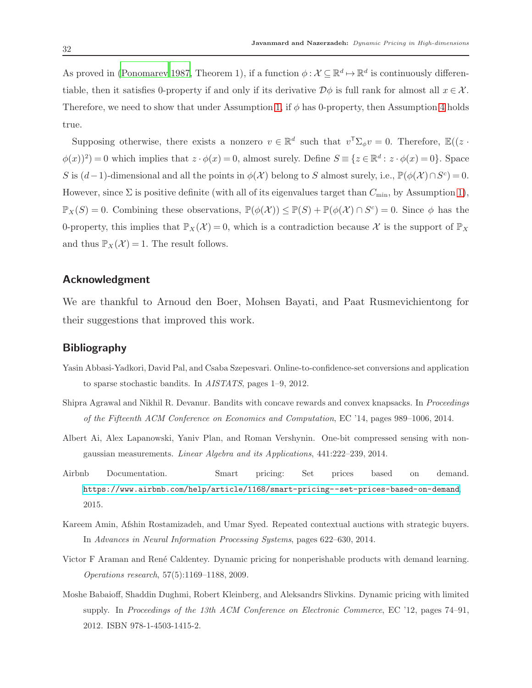As proved in [\(Ponomarev 1987,](#page-34-13) Theorem 1), if a function  $\phi: \mathcal{X} \subseteq \mathbb{R}^d \mapsto \mathbb{R}^d$  is continuously differentiable, then it satisfies 0-property if and only if its derivative  $\mathcal{D}\phi$  is full rank for almost all  $x \in \mathcal{X}$ . Therefore, we need to show that under Assumption [1,](#page-6-0) if  $\phi$  has 0-property, then Assumption [4](#page-15-1) holds true.

Supposing otherwise, there exists a nonzero  $v \in \mathbb{R}^d$  such that  $v^T \Sigma_{\phi} v = 0$ . Therefore,  $\mathbb{E}((z \cdot$  $\phi(x)$ <sup>2</sup> $) = 0$  which implies that  $z \cdot \phi(x) = 0$ , almost surely. Define  $S \equiv \{z \in \mathbb{R}^d : z \cdot \phi(x) = 0\}$ . Space S is  $(d-1)$ -dimensional and all the points in  $\phi(\mathcal{X})$  belong to S almost surely, i.e.,  $\mathbb{P}(\phi(\mathcal{X}) \cap S^c) = 0$ . However, since  $\Sigma$  is positive definite (with all of its eigenvalues target than  $C_{\min}$ , by Assumption [1\)](#page-6-0),  $\mathbb{P}_X(S) = 0$ . Combining these observations,  $\mathbb{P}(\phi(\mathcal{X})) \leq \mathbb{P}(S) + \mathbb{P}(\phi(\mathcal{X}) \cap S^c) = 0$ . Since  $\phi$  has the 0-property, this implies that  $\mathbb{P}_X(\mathcal{X}) = 0$ , which is a contradiction because X is the support of  $\mathbb{P}_X$ and thus  $\mathbb{P}_X(\mathcal{X}) = 1$ . The result follows.

# Acknowledgment

We are thankful to Arnoud den Boer, Mohsen Bayati, and Paat Rusmevichientong for their suggestions that improved this work.

# Bibliography

- <span id="page-31-6"></span>Yasin Abbasi-Yadkori, David Pal, and Csaba Szepesvari. Online-to-confidence-set conversions and application to sparse stochastic bandits. In *AISTATS*, pages 1–9, 2012.
- <span id="page-31-3"></span>Shipra Agrawal and Nikhil R. Devanur. Bandits with concave rewards and convex knapsacks. In *Proceedings of the Fifteenth ACM Conference on Economics and Computation*, EC '14, pages 989–1006, 2014.
- <span id="page-31-5"></span>Albert Ai, Alex Lapanowski, Yaniv Plan, and Roman Vershynin. One-bit compressed sensing with nongaussian measurements. *Linear Algebra and its Applications*, 441:222–239, 2014.
- <span id="page-31-1"></span>Airbnb Documentation. Smart pricing: Set prices based on demand. <https://www.airbnb.com/help/article/1168/smart-pricing--set-prices-based-on-demand>, 2015.
- <span id="page-31-0"></span>Kareem Amin, Afshin Rostamizadeh, and Umar Syed. Repeated contextual auctions with strategic buyers. In *Advances in Neural Information Processing Systems*, pages 622–630, 2014.
- <span id="page-31-2"></span>Victor F Araman and René Caldentey. Dynamic pricing for nonperishable products with demand learning. *Operations research*, 57(5):1169–1188, 2009.
- <span id="page-31-4"></span>Moshe Babaioff, Shaddin Dughmi, Robert Kleinberg, and Aleksandrs Slivkins. Dynamic pricing with limited supply. In *Proceedings of the 13th ACM Conference on Electronic Commerce*, EC '12, pages 74–91, 2012. ISBN 978-1-4503-1415-2.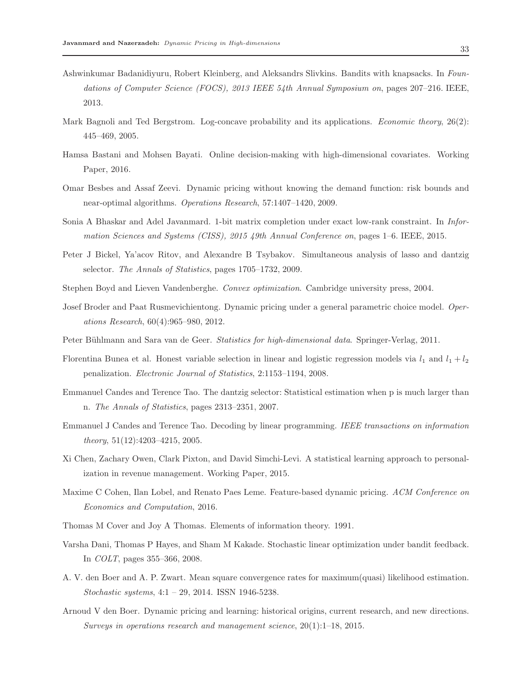- <span id="page-32-1"></span>Ashwinkumar Badanidiyuru, Robert Kleinberg, and Aleksandrs Slivkins. Bandits with knapsacks. In *Foundations of Computer Science (FOCS), 2013 IEEE 54th Annual Symposium on*, pages 207–216. IEEE, 2013.
- <span id="page-32-12"></span>Mark Bagnoli and Ted Bergstrom. Log-concave probability and its applications. *Economic theory*, 26(2): 445–469, 2005.
- <span id="page-32-6"></span>Hamsa Bastani and Mohsen Bayati. Online decision-making with high-dimensional covariates. Working Paper, 2016.
- <span id="page-32-0"></span>Omar Besbes and Assaf Zeevi. Dynamic pricing without knowing the demand function: risk bounds and near-optimal algorithms. *Operations Research*, 57:1407–1420, 2009.
- <span id="page-32-11"></span>Sonia A Bhaskar and Adel Javanmard. 1-bit matrix completion under exact low-rank constraint. In *Information Sciences and Systems (CISS), 2015 49th Annual Conference on*, pages 1–6. IEEE, 2015.
- <span id="page-32-9"></span>Peter J Bickel, Ya'acov Ritov, and Alexandre B Tsybakov. Simultaneous analysis of lasso and dantzig selector. *The Annals of Statistics*, pages 1705–1732, 2009.
- <span id="page-32-13"></span>Stephen Boyd and Lieven Vandenberghe. *Convex optimization*. Cambridge university press, 2004.
- <span id="page-32-2"></span>Josef Broder and Paat Rusmevichientong. Dynamic pricing under a general parametric choice model. *Operations Research*, 60(4):965–980, 2012.
- <span id="page-32-17"></span>Peter Bühlmann and Sara van de Geer. *Statistics for high-dimensional data*. Springer-Verlag, 2011.
- <span id="page-32-7"></span>Florentina Bunea et al. Honest variable selection in linear and logistic regression models via  $l_1$  and  $l_1 + l_2$ penalization. *Electronic Journal of Statistics*, 2:1153–1194, 2008.
- <span id="page-32-10"></span>Emmanuel Candes and Terence Tao. The dantzig selector: Statistical estimation when p is much larger than n. *The Annals of Statistics*, pages 2313–2351, 2007.
- <span id="page-32-8"></span>Emmanuel J Candes and Terence Tao. Decoding by linear programming. *IEEE transactions on information theory*, 51(12):4203–4215, 2005.
- <span id="page-32-16"></span>Xi Chen, Zachary Owen, Clark Pixton, and David Simchi-Levi. A statistical learning approach to personalization in revenue management. Working Paper, 2015.
- <span id="page-32-4"></span>Maxime C Cohen, Ilan Lobel, and Renato Paes Leme. Feature-based dynamic pricing. *ACM Conference on Economics and Computation*, 2016.
- <span id="page-32-15"></span>Thomas M Cover and Joy A Thomas. Elements of information theory. 1991.
- <span id="page-32-14"></span>Varsha Dani, Thomas P Hayes, and Sham M Kakade. Stochastic linear optimization under bandit feedback. In *COLT*, pages 355–366, 2008.
- <span id="page-32-3"></span>A. V. den Boer and A. P. Zwart. Mean square convergence rates for maximum(quasi) likelihood estimation. *Stochastic systems*, 4:1 – 29, 2014. ISSN 1946-5238.
- <span id="page-32-5"></span>Arnoud V den Boer. Dynamic pricing and learning: historical origins, current research, and new directions. *Surveys in operations research and management science*, 20(1):1–18, 2015.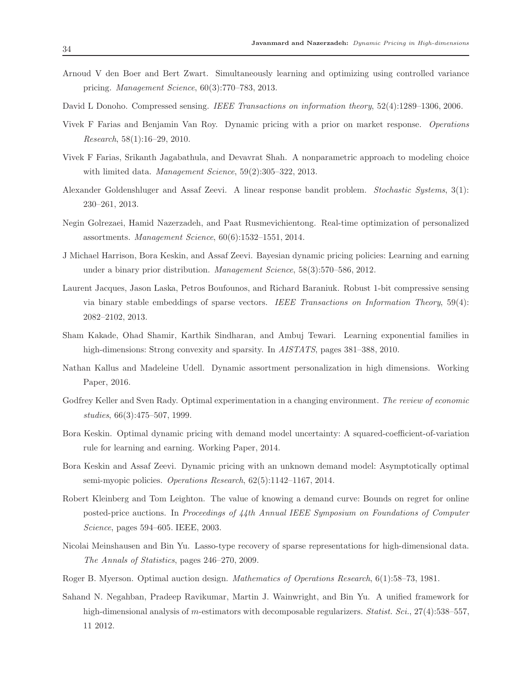- <span id="page-33-2"></span>Arnoud V den Boer and Bert Zwart. Simultaneously learning and optimizing using controlled variance pricing. *Management Science*, 60(3):770–783, 2013.
- <span id="page-33-10"></span>David L Donoho. Compressed sensing. *IEEE Transactions on information theory*, 52(4):1289–1306, 2006.
- <span id="page-33-7"></span>Vivek F Farias and Benjamin Van Roy. Dynamic pricing with a prior on market response. *Operations Research*, 58(1):16–29, 2010.
- <span id="page-33-14"></span>Vivek F Farias, Srikanth Jagabathula, and Devavrat Shah. A nonparametric approach to modeling choice with limited data. *Management Science*, 59(2):305–322, 2013.
- <span id="page-33-3"></span>Alexander Goldenshluger and Assaf Zeevi. A linear response bandit problem. *Stochastic Systems*, 3(1): 230–261, 2013.
- <span id="page-33-16"></span>Negin Golrezaei, Hamid Nazerzadeh, and Paat Rusmevichientong. Real-time optimization of personalized assortments. *Management Science*, 60(6):1532–1551, 2014.
- <span id="page-33-5"></span>J Michael Harrison, Bora Keskin, and Assaf Zeevi. Bayesian dynamic pricing policies: Learning and earning under a binary prior distribution. *Management Science*, 58(3):570–586, 2012.
- <span id="page-33-12"></span>Laurent Jacques, Jason Laska, Petros Boufounos, and Richard Baraniuk. Robust 1-bit compressive sensing via binary stable embeddings of sparse vectors. *IEEE Transactions on Information Theory*, 59(4): 2082–2102, 2013.
- <span id="page-33-8"></span>Sham Kakade, Ohad Shamir, Karthik Sindharan, and Ambuj Tewari. Learning exponential families in high-dimensions: Strong convexity and sparsity. In *AISTATS*, pages 381–388, 2010.
- <span id="page-33-15"></span>Nathan Kallus and Madeleine Udell. Dynamic assortment personalization in high dimensions. Working Paper, 2016.
- <span id="page-33-6"></span>Godfrey Keller and Sven Rady. Optimal experimentation in a changing environment. *The review of economic studies*, 66(3):475–507, 1999.
- <span id="page-33-4"></span>Bora Keskin. Optimal dynamic pricing with demand model uncertainty: A squared-coefficient-of-variation rule for learning and earning. Working Paper, 2014.
- <span id="page-33-1"></span>Bora Keskin and Assaf Zeevi. Dynamic pricing with an unknown demand model: Asymptotically optimal semi-myopic policies. *Operations Research*, 62(5):1142–1167, 2014.
- <span id="page-33-0"></span>Robert Kleinberg and Tom Leighton. The value of knowing a demand curve: Bounds on regret for online posted-price auctions. In *Proceedings of 44th Annual IEEE Symposium on Foundations of Computer Science*, pages 594–605. IEEE, 2003.
- <span id="page-33-11"></span>Nicolai Meinshausen and Bin Yu. Lasso-type recovery of sparse representations for high-dimensional data. *The Annals of Statistics*, pages 246–270, 2009.
- <span id="page-33-13"></span>Roger B. Myerson. Optimal auction design. *Mathematics of Operations Research*, 6(1):58–73, 1981.
- <span id="page-33-9"></span>Sahand N. Negahban, Pradeep Ravikumar, Martin J. Wainwright, and Bin Yu. A unified framework for high-dimensional analysis of m-estimators with decomposable regularizers. *Statist. Sci.*, 27(4):538–557, 11 2012.